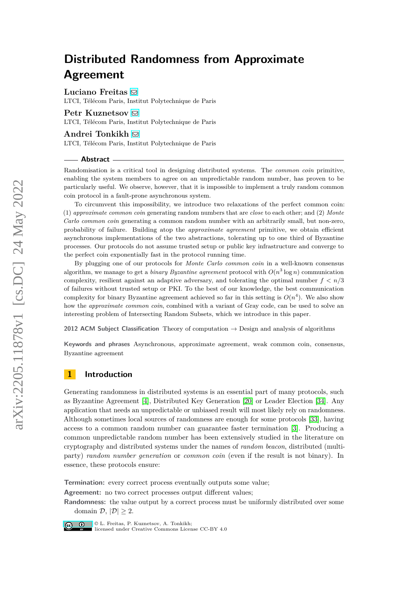**Luciano Freitas** [!](mailto:lfreitas@telecom-paris.fr)

LTCI, Télécom Paris, Institut Polytechnique de Paris

## **Petr Kuznetsov** ⊠

LTCI, Télécom Paris, Institut Polytechnique de Paris

#### **Andrei Tonkikh** [!](mailto:andrei.tonkikh@telecom-paris.fr)

LTCI, Télécom Paris, Institut Polytechnique de Paris

#### **Abstract**

Randomisation is a critical tool in designing distributed systems. The *common coin* primitive, enabling the system members to agree on an unpredictable random number, has proven to be particularly useful. We observe, however, that it is impossible to implement a truly random common coin protocol in a fault-prone asynchronous system.

To circumvent this impossibility, we introduce two relaxations of the perfect common coin: (1) *approximate common coin* generating random numbers that are *close* to each other; and (2) *Monte Carlo common coin* generating a common random number with an arbitrarily small, but non-zero, probability of failure. Building atop the *approximate agreement* primitive, we obtain efficient asynchronous implementations of the two abstractions, tolerating up to one third of Byzantine processes. Our protocols do not assume trusted setup or public key infrastructure and converge to the perfect coin exponentially fast in the protocol running time.

By plugging one of our protocols for *Monte Carlo common coin* in a well-known consensus algorithm, we manage to get a *binary Byzantine agreement* protocol with  $O(n^3 \log n)$  communication complexity, resilient against an adaptive adversary, and tolerating the optimal number  $f < n/3$ of failures without trusted setup or PKI. To the best of our knowledge, the best communication complexity for binary Byzantine agreement achieved so far in this setting is  $O(n^4)$ . We also show how the *approximate common coin*, combined with a variant of Gray code, can be used to solve an interesting problem of Intersecting Random Subsets, which we introduce in this paper.

**2012 ACM Subject Classification** Theory of computation → Design and analysis of algorithms

**Keywords and phrases** Asynchronous, approximate agreement, weak common coin, consensus, Byzantine agreement

# **1 Introduction**

Generating randomness in distributed systems is an essential part of many protocols, such as Byzantine Agreement [\[4\]](#page-16-0), Distributed Key Generation [\[20\]](#page-17-0) or Leader Election [\[34\]](#page-17-1). Any application that needs an unpredictable or unbiased result will most likely rely on randomness. Although sometimes local sources of randomness are enough for some protocols [\[33\]](#page-17-2), having access to a common random number can guarantee faster termination [\[3\]](#page-16-1). Producing a common unpredictable random number has been extensively studied in the literature on cryptography and distributed systems under the names of *random beacon*, distributed (multiparty) *random number generation* or *common coin* (even if the result is not binary). In essence, these protocols ensure:

**Termination:** every correct process eventually outputs some value;

**Agreement:** no two correct processes output different values;

**Randomness:** the value output by a correct process must be uniformly distributed over some domain  $\mathcal{D}, |\mathcal{D}| \geq 2$ .



© L. Freitas, P. Kuznetsov, A. Tonkikh; licensed under Creative Commons License CC-BY 4.0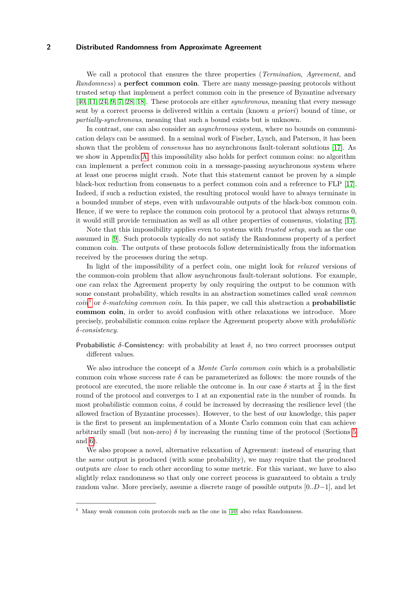We call a protocol that ensures the three properties (*Termination*, *Agreement*, and *Randomness*) a **perfect common coin**. There are many message-passing protocols without trusted setup that implement a perfect common coin in the presence of Byzantine adversary [\[40,](#page-18-0) [11,](#page-16-2) [24,](#page-17-3) [9,](#page-16-3) [7,](#page-16-4) [28,](#page-17-4) [18\]](#page-17-5). These protocols are either *synchronous*, meaning that every message sent by a correct process is delivered within a certain (known *a priori*) bound of time, or *partially-synchronous*, meaning that such a bound exists but is unknown.

In contrast, one can also consider an *asynchronous* system, where no bounds on communication delays can be assumed. In a seminal work of Fischer, Lynch, and Paterson, it has been shown that the problem of *consensus* has no asynchronous fault-tolerant solutions [\[17\]](#page-17-6). As we show in Appendix [A,](#page-19-0) this impossibility also holds for perfect common coins: no algorithm can implement a perfect common coin in a message-passing asynchronous system where at least one process might crash. Note that this statement cannot be proven by a simple black-box reduction from consensus to a perfect common coin and a reference to FLP [\[17\]](#page-17-6). Indeed, if such a reduction existed, the resulting protocol would have to always terminate in a bounded number of steps, even with unfavourable outputs of the black-box common coin. Hence, if we were to replace the common coin protocol by a protocol that always returns 0, it would still provide termination as well as all other properties of consensus, violating [\[17\]](#page-17-6).

Note that this impossibility applies even to systems with *trusted setup*, such as the one assumed in [\[9\]](#page-16-3). Such protocols typically do not satisfy the Randomness property of a perfect common coin. The outputs of these protocols follow deterministically from the information received by the processes during the setup.

In light of the impossibility of a perfect coin, one might look for *relaxed* versions of the common-coin problem that allow asynchronous fault-tolerant solutions. For example, one can relax the Agreement property by only requiring the output to be common with some constant probability, which results in an abstraction sometimes called *weak common coin*<sup>[1](#page-1-0)</sup> or *δ-matching common coin*. In this paper, we call this abstraction a **probabilistic common coin**, in order to avoid confusion with other relaxations we introduce. More precisely, probabilistic common coins replace the Agreement property above with *probabilistic δ-consistency*.

**Probabilistic**  $\delta$ -Consistency: with probability at least  $\delta$ , no two correct processes output different values.

We also introduce the concept of a *Monte Carlo common coin* which is a probabilistic common coin whose success rate  $\delta$  can be parameterized as follows: the more rounds of the protocol are executed, the more reliable the outcome is. In our case  $\delta$  starts at  $\frac{2}{3}$  in the first round of the protocol and converges to 1 at an exponential rate in the number of rounds. In most probabilistic common coins,  $\delta$  could be increased by decreasing the resilience level (the allowed fraction of Byzantine processes). However, to the best of our knowledge, this paper is the first to present an implementation of a Monte Carlo common coin that can achieve arbitrarily small (but non-zero)  $\delta$  by increasing the running time of the protocol (Sections [5](#page-9-0)) and [6\)](#page-9-1).

We also propose a novel, alternative relaxation of Agreement: instead of ensuring that the *same* output is produced (with some probability), we may require that the produced outputs are *close* to each other according to some metric. For this variant, we have to also slightly relax randomness so that only one correct process is guaranteed to obtain a truly random value. More precisely, assume a discrete range of possible outputs [0*..D*−1], and let

<span id="page-1-0"></span> $^1\,$  Many weak common coin protocols such as the one in [\[10\]](#page-16-5) also relax Randomness.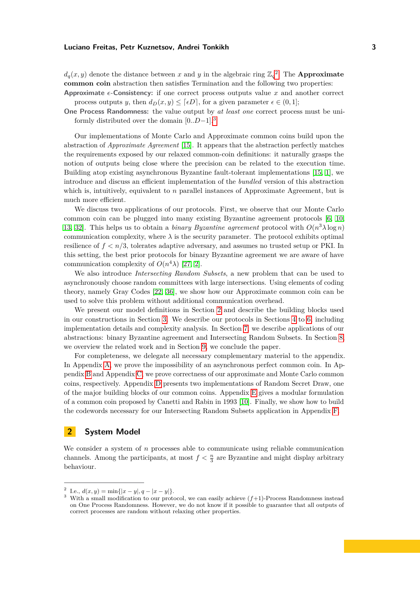$d_q(x, y)$  denote the distance between *x* and *y* in the algebraic ring  $\mathbb{Z}_q^2$  $\mathbb{Z}_q^2$ . The **Approximate common coin** abstraction then satisfies Termination and the following two properties: **Approximate**  $\epsilon$ -**Consistency:** if one correct process outputs value x and another correct

process outputs *y*, then  $d_D(x, y) \leq \lceil \epsilon D \rceil$ , for a given parameter  $\epsilon \in (0, 1]$ ;

**One Process Randomness:** the value output by *at least one* correct process must be uniformly distributed over the domain [0*..D*−1]. [3](#page-2-1)

Our implementations of Monte Carlo and Approximate common coins build upon the abstraction of *Approximate Agreement* [\[15\]](#page-16-6). It appears that the abstraction perfectly matches the requirements exposed by our relaxed common-coin definitions: it naturally grasps the notion of outputs being close where the precision can be related to the execution time. Building atop existing asynchronous Byzantine fault-tolerant implementations [\[15,](#page-16-6) [1\]](#page-16-7), we introduce and discuss an efficient implementation of the *bundled* version of this abstraction which is, intuitively, equivalent to *n* parallel instances of Approximate Agreement, but is much more efficient.

We discuss two applications of our protocols. First, we observe that our Monte Carlo common coin can be plugged into many existing Byzantine agreement protocols [\[6,](#page-16-8) [10,](#page-16-5) [13,](#page-16-9) 32. This helps us to obtain a *binary Byzantine agreement* protocol with  $O(n^3 \lambda \log n)$ communication complexity, where  $\lambda$  is the security parameter. The protocol exhibits optimal resilience of *f < n/*3, tolerates adaptive adversary, and assumes no trusted setup or PKI. In this setting, the best prior protocols for binary Byzantine agreement we are aware of have communication complexity of  $O(n^4\lambda)$  [\[27,](#page-17-8) [2\]](#page-16-10).

We also introduce *Intersecting Random Subsets*, a new problem that can be used to asynchronously choose random committees with large intersections. Using elements of coding theory, namely Gray Codes [\[22,](#page-17-9) [36\]](#page-18-1), we show how our Approximate common coin can be used to solve this problem without additional communication overhead.

We present our model definitions in Section [2](#page-2-2) and describe the building blocks used in our constructions in Section [3.](#page-3-0) We describe our protocols in Sections [4](#page-7-0) to [6,](#page-9-1) including implementation details and complexity analysis. In Section [7,](#page-12-0) we describe applications of our abstractions: binary Byzantine agreement and Intersecting Random Subsets. In Section [8,](#page-13-0) we overview the related work and in Section [9,](#page-15-0) we conclude the paper.

For completeness, we delegate all necessary complementary material to the appendix. In Appendix [A,](#page-19-0) we prove the impossibility of an asynchronous perfect common coin. In Appendix [B](#page-21-0) and Appendix [C,](#page-23-0) we prove correctness of our approximate and Monte Carlo common coins, respectively. Appendix [D](#page-27-0) presents two implementations of Random Secret Draw, one of the major building blocks of our common coins. Appendix [E](#page-31-0) gives a modular formulation of a common coin proposed by Canetti and Rabin in 1993 [\[10\]](#page-16-5). Finally, we show how to build the codewords necessary for our Intersecting Random Subsets application in Appendix [F.](#page-31-1)

# <span id="page-2-2"></span>**2 System Model**

We consider a system of *n* processes able to communicate using reliable communication channels. Among the participants, at most  $f < \frac{n}{3}$  are Byzantine and might display arbitrary behaviour.

<span id="page-2-0"></span> $2 \text{ I.e., } d(x, y) = \min\{|x - y|, q - |x - y|\}.$ 

<span id="page-2-1"></span><sup>&</sup>lt;sup>3</sup> With a small modification to our protocol, we can easily achieve  $(f+1)$ -Process Randomness instead on One Process Randomness. However, we do not know if it possible to guarantee that all outputs of correct processes are random without relaxing other properties.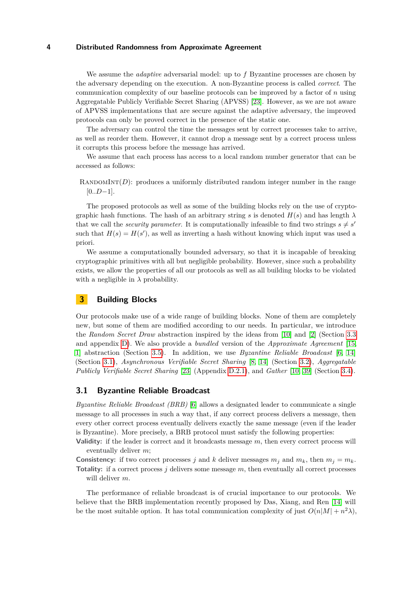We assume the *adaptive* adversarial model: up to *f* Byzantine processes are chosen by the adversary depending on the execution. A non-Byzantine process is called *correct*. The communication complexity of our baseline protocols can be improved by a factor of *n* using Aggregatable Publicly Verifiable Secret Sharing (APVSS) [\[23\]](#page-17-10). However, as we are not aware of APVSS implementations that are secure against the adaptive adversary, the improved protocols can only be proved correct in the presence of the static one.

The adversary can control the time the messages sent by correct processes take to arrive, as well as reorder them. However, it cannot drop a message sent by a correct process unless it corrupts this process before the message has arrived.

We assume that each process has access to a local random number generator that can be accessed as follows:

RANDOMINT( $D$ ): produces a uniformly distributed random integer number in the range [0*..D*−1].

The proposed protocols as well as some of the building blocks rely on the use of cryptographic hash functions. The hash of an arbitrary string *s* is denoted  $H(s)$  and has length  $\lambda$ that we call the *security parameter*. It is computationally infeasible to find two strings  $s \neq s'$ such that  $H(s) = H(s')$ , as well as inverting a hash without knowing which input was used a priori.

We assume a computationally bounded adversary, so that it is incapable of breaking cryptographic primitives with all but negligible probability. However, since such a probability exists, we allow the properties of all our protocols as well as all building blocks to be violated with a negligible in  $\lambda$  probability.

# <span id="page-3-0"></span>**3 Building Blocks**

Our protocols make use of a wide range of building blocks. None of them are completely new, but some of them are modified according to our needs. In particular, we introduce the *Random Secret Draw* abstraction inspired by the ideas from [\[10\]](#page-16-5) and [\[2\]](#page-16-10) (Section [3.3](#page-4-0) and appendix [D\)](#page-27-0). We also provide a *bundled* version of the *Approximate Agreement* [\[15,](#page-16-6) [1\]](#page-16-7) abstraction (Section [3.5\)](#page-6-0). In addition, we use *Byzantine Reliable Broadcast* [\[6,](#page-16-8) [14\]](#page-16-11) (Section [3.1\)](#page-3-1), *Asynchronous Verifiable Secret Sharing* [\[8,](#page-16-12) [14\]](#page-16-11) (Section [3.2\)](#page-4-1), *Aggregatable Publicly Verifiable Secret Sharing* [\[23\]](#page-17-10) (Appendix [D.2.1\)](#page-29-0), and *Gather* [\[10,](#page-16-5) [39\]](#page-18-2) (Section [3.4\)](#page-5-0).

## <span id="page-3-1"></span>**3.1 Byzantine Reliable Broadcast**

*Byzantine Reliable Broadcast (BRB)* [\[6\]](#page-16-8) allows a designated leader to communicate a single message to all processes in such a way that, if any correct process delivers a message, then every other correct process eventually delivers exactly the same message (even if the leader is Byzantine). More precisely, a BRB protocol must satisfy the following properties:

**Validity:** if the leader is correct and it broadcasts message *m*, then every correct process will eventually deliver *m*;

**Consistency:** if two correct processes *j* and *k* deliver messages  $m_j$  and  $m_k$ , then  $m_j = m_k$ . **Totality:** if a correct process *j* delivers some message *m*, then eventually all correct processes will deliver *m*.

The performance of reliable broadcast is of crucial importance to our protocols. We believe that the BRB implementation recently proposed by Das, Xiang, and Ren [\[14\]](#page-16-11) will be the most suitable option. It has total communication complexity of just  $O(n|M| + n^2\lambda)$ ,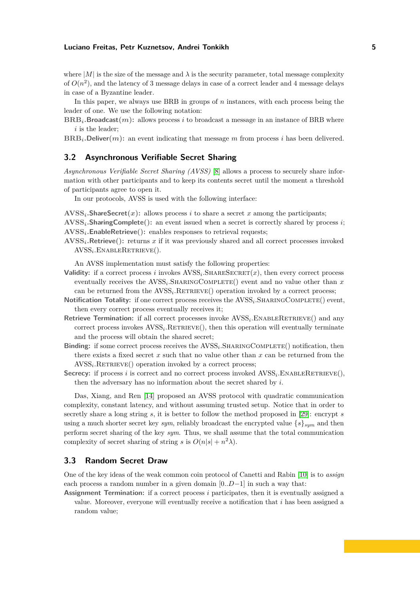where  $|M|$  is the size of the message and  $\lambda$  is the security parameter, total message complexity of  $O(n^2)$ , and the latency of 3 message delays in case of a correct leader and 4 message delays in case of a Byzantine leader.

In this paper, we always use BRB in groups of *n* instances, with each process being the leader of one. We use the following notation:

 $BRB<sub>i</sub>$ **.Broadcast** $(m)$ **:** allows process *i* to broadcast a message in an instance of BRB where *i* is the leader;

 $BRB<sub>i</sub>$ **.Deliver** $(m)$ **:** an event indicating that message *m* from process *i* has been delivered.

# <span id="page-4-1"></span>**3.2 Asynchronous Verifiable Secret Sharing**

*Asynchronous Verifiable Secret Sharing (AVSS)* [\[8\]](#page-16-12) allows a process to securely share information with other participants and to keep its contents secret until the moment a threshold of participants agree to open it.

In our protocols, AVSS is used with the following interface:

 $\mathbf{AVSS}_i$ **.ShareSecret** $(x)$ : allows process *i* to share a secret *x* among the participants;

**AVSS***i.***SharingComplete():** an event issued when a secret is correctly shared by process *i*; **AVSS***i.***EnableRetrieve():** enables responses to retrieval requests;

**AVSS***i.***Retrieve():** returns *x* if it was previously shared and all correct processes invoked AVSS*<sup>i</sup> .*EnableRetrieve().

An AVSS implementation must satisfy the following properties:

- **Validity:** if a correct process *i* invokes  $AVSS_i$ . SHARESECRET $(x)$ , then every correct process eventually receives the  $AVSS_i$ . SHARINGCOMPLETE() event and no value other than  $x$ can be returned from the  $AVSS_i$ . RETRIEVE() operation invoked by a correct process;
- Notification Totality: if one correct process receives the AVSS<sub>i</sub>.SHARINGCOMPLETE() event, then every correct process eventually receives it;
- Retrieve Termination: if all correct processes invoke  $AVSS_i$ . ENABLERETRIEVE() and any correct process invokes  $AVSS_i$ . RETRIEVE(), then this operation will eventually terminate and the process will obtain the shared secret;
- **Binding:** if some correct process receives the  $AVSS<sub>i</sub>$ . SHARINGCOMPLETE() notification, then there exists a fixed secret *x* such that no value other than *x* can be returned from the  $AVSS<sub>i</sub>$ .RETRIEVE() operation invoked by a correct process;
- Secrecy: if process *i* is correct and no correct process invoked  $AVSS_i$ . ENABLERETRIEVE $(),$ then the adversary has no information about the secret shared by *i*.

Das, Xiang, and Ren [\[14\]](#page-16-11) proposed an AVSS protocol with quadratic communication complexity, constant latency, and without assuming trusted setup. Notice that in order to secretly share a long string *s*, it is better to follow the method proposed in [\[29\]](#page-17-11): encrypt *s* using a much shorter secret key *sym*, reliably broadcast the encrypted value  $\{s\}_{sum}$  and then perform secret sharing of the key *sym*. Thus, we shall assume that the total communication complexity of secret sharing of string *s* is  $O(n|s| + n^2\lambda)$ .

# <span id="page-4-0"></span>**3.3 Random Secret Draw**

One of the key ideas of the weak common coin protocol of Canetti and Rabin [\[10\]](#page-16-5) is to *assign* each process a random number in a given domain [0*..D*−1] in such a way that:

**Assignment Termination:** if a correct process *i* participates, then it is eventually assigned a value. Moreover, everyone will eventually receive a notification that *i* has been assigned a random value;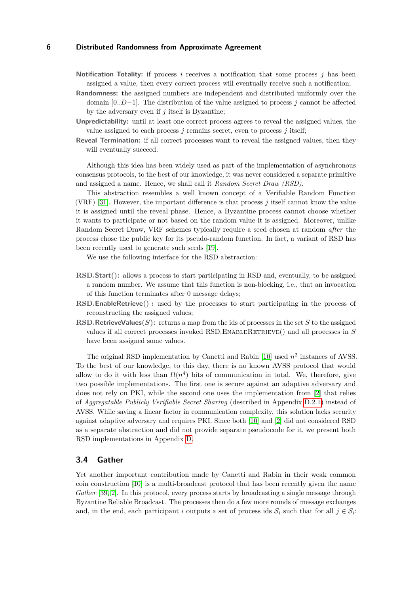- **Notification Totality:** if process *i* receives a notification that some process *j* has been assigned a value, then every correct process will eventually receive such a notification;
- **Randomness:** the assigned numbers are independent and distributed uniformly over the domain [0*..D*−1]. The distribution of the value assigned to process *j* cannot be affected by the adversary even if *j* itself is Byzantine;
- **Unpredictability:** until at least one correct process agrees to reveal the assigned values, the value assigned to each process *j* remains secret, even to process *j* itself;
- **Reveal Termination:** if all correct processes want to reveal the assigned values, then they will eventually succeed.

Although this idea has been widely used as part of the implementation of asynchronous consensus protocols, to the best of our knowledge, it was never considered a separate primitive and assigned a name. Hence, we shall call it *Random Secret Draw (RSD)*.

This abstraction resembles a well known concept of a Verifiable Random Function (VRF) [\[31\]](#page-17-12). However, the important difference is that process *j* itself cannot know the value it is assigned until the reveal phase. Hence, a Byzantine process cannot choose whether it wants to participate or not based on the random value it is assigned. Moreover, unlike Random Secret Draw, VRF schemes typically require a seed chosen at random *after* the process chose the public key for its pseudo-random function. In fact, a variant of RSD has been recently used to generate such seeds [\[19\]](#page-17-13).

We use the following interface for the RSD abstraction:

- **RSD***.***Start():** allows a process to start participating in RSD and, eventually, to be assigned a random number. We assume that this function is non-blocking, i.e., that an invocation of this function terminates after 0 message delays;
- **RSD***.***EnableRetrieve() :** used by the processes to start participating in the process of reconstructing the assigned values;
- **RSD**. **RetrieveValues**  $(S)$ : returns a map from the ids of processes in the set *S* to the assigned values if all correct processes invoked RSD*.*EnableRetrieve() and all processes in *S* have been assigned some values.

The original RSD implementation by Canetti and Rabin  $[10]$  used  $n^2$  instances of AVSS. To the best of our knowledge, to this day, there is no known AVSS protocol that would allow to do it with less than  $\Omega(n^4)$  bits of communication in total. We, therefore, give two possible implementations. The first one is secure against an adaptive adversary and does not rely on PKI, while the second one uses the implementation from [\[2\]](#page-16-10) that relies of *Aggregatable Publicly Verifiable Secret Sharing* (described in Appendix [D.2.1\)](#page-29-0) instead of AVSS. While saving a linear factor in communication complexity, this solution lacks security against adaptive adversary and requires PKI. Since both [\[10\]](#page-16-5) and [\[2\]](#page-16-10) did not considered RSD as a separate abstraction and did not provide separate pseudocode for it, we present both RSD implementations in Appendix [D.](#page-27-0)

#### <span id="page-5-0"></span>**3.4 Gather**

Yet another important contribution made by Canetti and Rabin in their weak common coin construction [\[10\]](#page-16-5) is a multi-broadcast protocol that has been recently given the name *Gather* [\[39,](#page-18-2) [2\]](#page-16-10). In this protocol, every process starts by broadcasting a single message through Byzantine Reliable Broadcast. The processes then do a few more rounds of message exchanges and, in the end, each participant *i* outputs a set of process ids  $S_i$  such that for all  $j \in S_i$ :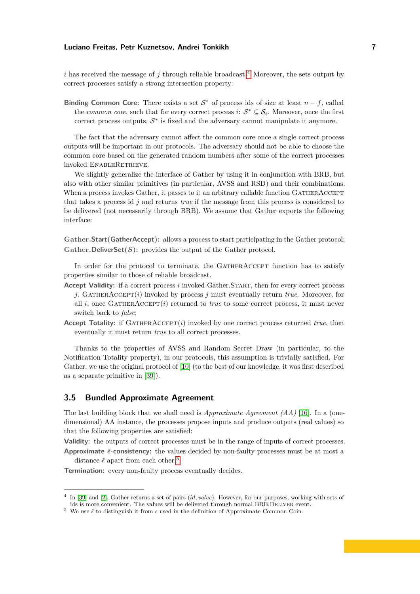*i* has received the message of *j* through reliable broadcast.<sup>[4](#page-6-1)</sup> Moreover, the sets output by correct processes satisfy a strong intersection property:

**Binding Common Core:** There exists a set  $S^*$  of process ids of size at least  $n - f$ , called the *common core*, such that for every correct process *i*:  $S^* \subseteq S_i$ . Moreover, once the first correct process outputs,  $S^*$  is fixed and the adversary cannot manipulate it anymore.

The fact that the adversary cannot affect the common core once a single correct process outputs will be important in our protocols. The adversary should not be able to choose the common core based on the generated random numbers after some of the correct processes invoked ENABLERETRIEVE.

We slightly generalize the interface of Gather by using it in conjunction with BRB, but also with other similar primitives (in particular, AVSS and RSD) and their combinations. When a process invokes Gather, it passes to it an arbitrary callable function GATHERACCEPT that takes a process id *j* and returns *true* if the message from this process is considered to be delivered (not necessarily through BRB). We assume that Gather exports the following interface:

**Gather***.***Start(GatherAccept):** allows a process to start participating in the Gather protocol; **Gather**. Deliver  $Set(S)$ : provides the output of the Gather protocol.

In order for the protocol to terminate, the GATHERACCEPT function has to satisfy properties similar to those of reliable broadcast.

- **Accept Validity:** if a correct process *i* invoked Gather*.*Start, then for every correct process *j*, GatherAccept(*i*) invoked by process *j* must eventually return *true*. Moreover, for all  $i$ , once GATHERACCEPT $(i)$  returned to *true* to some correct process, it must never switch back to *false*;
- **Accept Totality:** if  $GATHERACCEPT(i)$  invoked by one correct process returned *true*, then eventually it must return *true* to all correct processes.

Thanks to the properties of AVSS and Random Secret Draw (in particular, to the Notification Totality property), in our protocols, this assumption is trivially satisfied. For Gather, we use the original protocol of [\[10\]](#page-16-5) (to the best of our knowledge, it was first described as a separate primitive in [\[39\]](#page-18-2)).

## <span id="page-6-0"></span>**3.5 Bundled Approximate Agreement**

The last building block that we shall need is *Approximate Agreement (AA)* [\[16\]](#page-16-13). In a (onedimensional) AA instance, the processes propose inputs and produce outputs (real values) so that the following properties are satisfied:

**Validity:** the outputs of correct processes must be in the range of inputs of correct processes. **Approximate**  $\tilde{\epsilon}$ -consistency: the values decided by non-faulty processes must be at most a distance  $\tilde{\epsilon}$  apart from each other.<sup>[5](#page-6-2)</sup>

**Termination:** every non-faulty process eventually decides.

<span id="page-6-1"></span><sup>4</sup> In [\[39\]](#page-18-2) and [\[2\]](#page-16-10), Gather returns a set of pairs (*id, value*). However, for our purposes, working with sets of ids is more convenient. The values will be delivered through normal BRB.DELIVER event.

<span id="page-6-2"></span><sup>&</sup>lt;sup>5</sup> We use  $\tilde{\epsilon}$  to distinguish it from  $\epsilon$  used in the definition of Approximate Common Coin.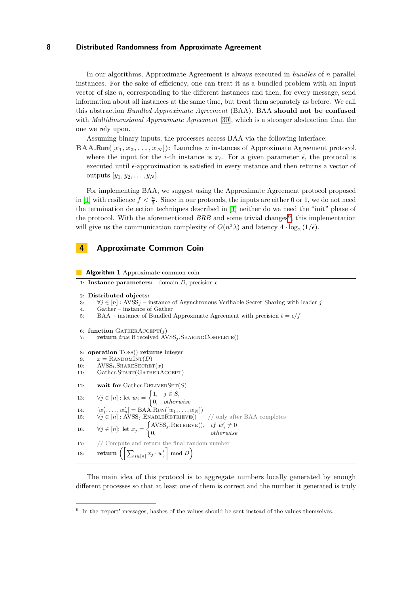In our algorithms, Approximate Agreement is always executed in *bundles* of *n* parallel instances. For the sake of efficiency, one can treat it as a bundled problem with an input vector of size  $n$ , corresponding to the different instances and then, for every message, send information about all instances at the same time, but treat them separately as before. We call this abstraction *Bundled Approximate Agreement* (BAA). BAA **should not be confused** with *Multidimensional Approximate Agreement* [\[30\]](#page-17-14), which is a stronger abstraction than the one we rely upon.

Assuming binary inputs, the processes access BAA via the following interface:

**BAA***.***Run**( $[x_1, x_2, \ldots, x_N]$ ): Launches *n* instances of Approximate Agreement protocol, where the input for the *i*-th instance is  $x_i$ . For a given parameter  $\tilde{\epsilon}$ , the protocol is executed until  $\tilde{\epsilon}$ -approximation is satisfied in every instance and then returns a vector of outputs  $[y_1, y_2, \ldots, y_N]$ .

For implementing BAA, we suggest using the Approximate Agreement protocol proposed in [\[1\]](#page-16-7) with resilience  $f < \frac{n}{3}$ . Since in our protocols, the inputs are either 0 or 1, we do not need the termination detection techniques described in [\[1\]](#page-16-7) neither do we need the "init" phase of the protocol. With the aforementioned  $BRB$  and some trivial changes<sup>[6](#page-7-1)</sup>, this implementation will give us the communication complexity of  $O(n^3\lambda)$  and latency  $4 \cdot \log_2(1/\tilde{\epsilon})$ .

# <span id="page-7-0"></span>**4 Approximate Common Coin**

<span id="page-7-7"></span>**Algorithm 1** Approximate common coin

```
1: Instance parameters: domain D, precision 
 2: Distributed objects:
 3: \forall j \in [n]: AVSS<sub>j</sub> – instance of Asynchronous Verifiable Secret Sharing with leader j
 4: Gather – instance of Gather
 5: BAA – instance of Bundled Approximate Agreement with precision \tilde{\epsilon} = \epsilon / f6: function GatherAccept(j)
 7: return true if received AVSSj .SharingComplete()
 8: operation Toss() returns integer
 9: x =RANDOMINT(D)10: AVSS_i. SHARESECRET(x)
11: Gather.START(GATHERACCEPT)
12: wait for Gather.DELIVERSET(S)
13: \forall j \in [n]: \text{let } w_j = \begin{cases} 1, & j \in S, \\ 0, & j \in S. \end{cases}0, otherwise
14: [w'_1, \ldots, w'_n] = \text{BAA.Run}([w_1, \ldots, w_N])15: \forall j \in [n] : \text{AVSS}_j.\text{ENABLERETrREVE}() \qquad // \text{ only after BAA completes}16: \forall j \in [n]: \text{ let } x_j = \begin{cases} \text{AVSS}_j.\text{RETRIEVE}(), & if \ w'_j \neq 0 \\ 0 & if \ w''_j \end{cases}0, otherwise
17: // Compute and return the final random number
18: return \left( \left[ \sum_{j \in [n]} x_j \cdot w'_j \right] \mod D \right)
```
<span id="page-7-8"></span><span id="page-7-6"></span><span id="page-7-5"></span><span id="page-7-4"></span><span id="page-7-3"></span><span id="page-7-2"></span>The main idea of this protocol is to aggregate numbers locally generated by enough different processes so that at least one of them is correct and the number it generated is truly

<span id="page-7-1"></span><sup>&</sup>lt;sup>6</sup> In the 'report' messages, hashes of the values should be sent instead of the values themselves.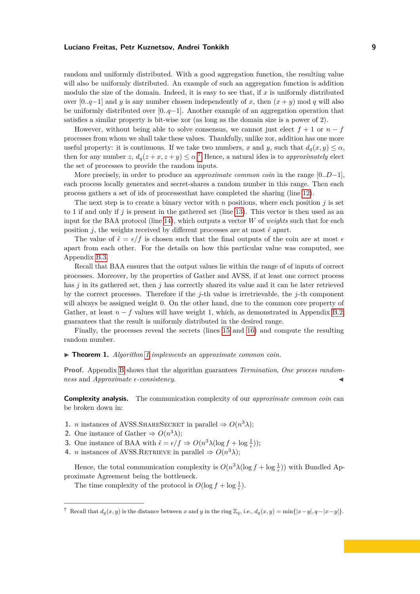random and uniformly distributed. With a good aggregation function, the resulting value will also be uniformly distributed. An example of such an aggregation function is addition modulo the size of the domain. Indeed, it is easy to see that, if *x* is uniformly distributed over [0*..q*−1] and *y* is any number chosen independently of *x*, then (*x* + *y*) mod *q* will also be uniformly distributed over [0*..q*−1]. Another example of an aggregation operation that satisfies a similar property is bit-wise xor (as long as the domain size is a power of 2).

However, without being able to solve consensus, we cannot just elect  $f + 1$  or  $n - f$ processes from whom we shall take these values. Thankfully, unlike xor, addition has one more useful property: it is continuous. If we take two numbers, *x* and *y*, such that  $d_q(x, y) \leq \alpha$ , then for any number *z*,  $d_q(z+x, z+y) \leq \alpha$ .<sup>[7](#page-8-0)</sup> Hence, a natural idea is to *approximately* elect the set of processes to provide the random inputs.

More precisely, in order to produce an *approximate common coin* in the range [0*..D*−1], each process locally generates and secret-shares a random number in this range. Then each process gathers a set of ids of processesthat have completed the sharing (line [12\)](#page-7-2).

The next step is to create a binary vector with  $n$  positions, where each position  $j$  is set to 1 if and only if  $j$  is present in the gathered set (line [13\)](#page-7-3). This vector is then used as an input for the BAA protocol (line [14\)](#page-7-4), which outputs a vector  $W$  of *weights* such that for each position *j*, the weights received by different processes are at most  $\tilde{\epsilon}$  apart.

The value of  $\tilde{\epsilon} = \epsilon/f$  is chosen such that the final outputs of the coin are at most  $\epsilon$ apart from each other. For the details on how this particular value was computed, see Appendix [B.3.](#page-22-0)

Recall that BAA ensures that the output values lie within the range of of inputs of correct processes. Moreover, by the properties of Gather and AVSS, if at least one correct process has *j* in its gathered set, then *j* has correctly shared its value and it can be later retrieved by the correct processes. Therefore if the *j*-th value is irretrievable, the *j*-th component will always be assigned weight 0. On the other hand, due to the common core property of Gather, at least  $n - f$  values will have weight 1, which, as demonstrated in Appendix [B.2,](#page-21-1) guarantees that the result is uniformly distributed in the desired range.

Finally, the processes reveal the secrets (lines [15](#page-7-5) and [16\)](#page-7-6) and compute the resulting random number.

▶ **Theorem [1](#page-7-7).** *Algorithm 1 implements an approximate common coin.* 

**Proof.** Appendix [B](#page-21-0) shows that the algorithm guarantees *Termination*, *One process random-* $\textit{ness}$  and *Approximate*  $\epsilon$ -consistency.

**Complexity analysis.** The communication complexity of our *approximate common coin* can be broken down in:

- **1.** *n* instances of AVSS.SHARESECRET in parallel  $\Rightarrow$   $O(n^3\lambda)$ ;
- **2.** One instance of Gather  $\Rightarrow$   $O(n^3\lambda)$ ;
- **3.** One instance of BAA with  $\tilde{\epsilon} = \epsilon/f \Rightarrow O(n^3 \lambda (\log f + \log \frac{1}{\epsilon}))$ ;
- **4.** *n* instances of AVSS.RETRIEVE in parallel  $\Rightarrow$   $O(n^3\lambda)$ ;

Hence, the total communication complexity is  $O(n^3 \lambda (\log f + \log \frac{1}{\epsilon}))$  with Bundled Approximate Agreement being the bottleneck.

The time complexity of the protocol is  $O(\log f + \log \frac{1}{\epsilon})$ .

<span id="page-8-0"></span><sup>7</sup> Recall that *dq*(*x, y*) is the distance between *x* and *y* in the ring Z*q*, i.e., *dq*(*x, y*) = min{|*x*−*y*|*, q*−|*x*−*y*|}.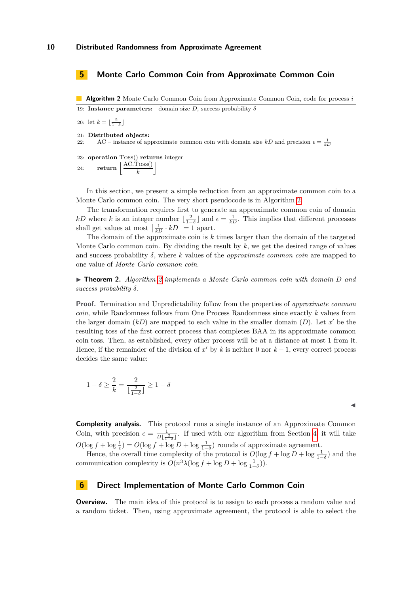## <span id="page-9-0"></span>**5 Monte Carlo Common Coin from Approximate Common Coin**

<span id="page-9-2"></span>**Algorithm 2** Monte Carlo Common Coin from Approximate Common Coin, code for process *i* 19: **Instance parameters:** domain size *D*, success probability  $\delta$ 

20: let  $k = \lfloor \frac{2}{1-\delta} \rfloor$ 

21: **Distributed objects:**

22: AC – instance of approximate common coin with domain size  $kD$  and precision  $\epsilon = \frac{1}{kD}$ 

23: **operation** Toss() **returns** integer 24: **return** j AC*.*Toss() *k*  $\overline{\phantom{a}}$ 

In this section, we present a simple reduction from an approximate common coin to a Monte Carlo common coin. The very short pseudocode is in Algorithm [2.](#page-9-2)

The transformation requires first to generate an approximate common coin of domain *kD* where *k* is an integer number  $\lfloor \frac{2}{1-\delta} \rfloor$  and  $\epsilon = \frac{1}{k}$ . This implies that different processes shall get values at most  $\left[\frac{1}{k} \cdot kD\right] = 1$  apart.

The domain of the approximate coin is *k* times larger than the domain of the targeted Monte Carlo common coin. By dividing the result by *k*, we get the desired range of values and success probability  $\delta$ , where  $k$  values of the *approximate common coin* are mapped to one value of *Monte Carlo common coin*.

I **Theorem 2.** *Algorithm [2](#page-9-2) implements a Monte Carlo common coin with domain D and success probability δ.*

**Proof.** Termination and Unpredictability follow from the properties of *approximate common coin*, while Randomness follows from One Process Randomness since exactly *k* values from the larger domain  $(kD)$  are mapped to each value in the smaller domain  $(D)$ . Let  $x'$  be the resulting toss of the first correct process that completes BAA in its approximate common coin toss. Then, as established, every other process will be at a distance at most 1 from it. Hence, if the remainder of the division of  $x'$  by  $k$  is neither 0 nor  $k-1$ , every correct process decides the same value:

$$
1 - \delta \ge \frac{2}{k} = \frac{2}{\lfloor \frac{2}{1 - \delta} \rfloor} \ge 1 - \delta
$$

J

**Complexity analysis.** This protocol runs a single instance of an Approximate Common Coin, with precision  $\epsilon = \frac{1}{D\lfloor \frac{2}{1-\delta} \rfloor}$ . If used with our algorithm from Section [4,](#page-7-0) it will take  $O(\log f + \log \frac{1}{\epsilon}) = O(\log f + \log D + \log \frac{1}{1-\delta})$  rounds of approximate agreement.

Hence, the overall time complexity of the protocol is  $O(\log f + \log D + \log \frac{1}{1-\delta})$  and the communication complexity is  $O(n^3 \lambda (\log f + \log D + \log \frac{1}{1-\delta}))$ .

## <span id="page-9-1"></span>**6 Direct Implementation of Monte Carlo Common Coin**

**Overview.** The main idea of this protocol is to assign to each process a random value and a random ticket. Then, using approximate agreement, the protocol is able to select the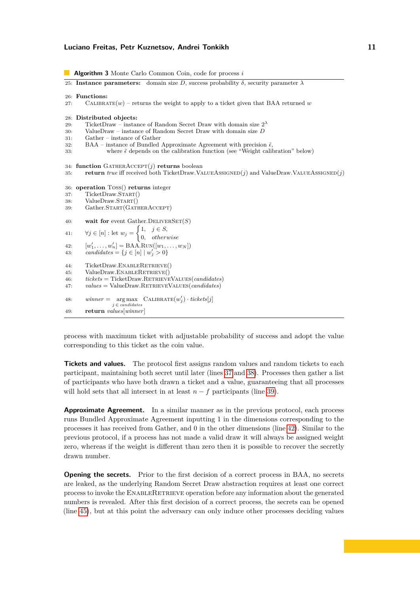```
Algorithm 3 Monte Carlo Common Coin, code for process i
25: Instance parameters: domain size D, success probability \delta, security parameter \lambda26: Functions:
       CALIBRATE(w) – returns the weight to apply to a ticket given that BAA returned w
28: Distributed objects:
29: TicketDraw – instance of Random Secret Draw with domain size 2^{\lambda}30: ValueDraw – instance of Random Secret Draw with domain size D
31: Gather – instance of Gather<br>32: BAA – instance of Bundled
        BAA – instance of Bundled Approximate Agreement with precision \tilde{\epsilon},
33: where \tilde{\epsilon} depends on the calibration function (see "Weight calibration" below)
34: function GATHERACCEPT(j) returns boolean
35: return true iff received both TicketDraw.ValueAssigned(j) and ValueDraw.ValueAssigned(j)
36: operation Toss() returns integer
37: TicketDraw.Start()
38: ValueDraw.START()
39: Gather.START(GATHERACCEPT)
40: wait for event Gather. DELIVERSET(S)41: ∀j ∈ [n] : let w_j = \begin{cases} 1, & j \in S, \\ 0, & j \in S, \end{cases}0, otherwise
42: [w'_1, \ldots, w'_n] = \text{BAA.Run}([w_1, \ldots, w_N])43: candidates = {j \in [n] | w'_j > 0}
44: TicketDraw.ENABLERETRIEVE()
45: ValueDraw.ENABLERETRIEVE()
46: tickets = TicketDraw.RetrieveValues(candidates)
47: values = ValueDraw.RetrieveValues(candidates)
48: \text{winner} = \arg \max \ \text{CALIBRATE}(w_j') \cdot \text{tickets}[j]j ∈ candidates
49: return values[winner]
```
<span id="page-10-6"></span><span id="page-10-5"></span><span id="page-10-4"></span><span id="page-10-3"></span><span id="page-10-2"></span>process with maximum ticket with adjustable probability of success and adopt the value corresponding to this ticket as the coin value.

**Tickets and values.** The protocol first assigns random values and random tickets to each participant, maintaining both secret until later (lines [37](#page-10-0) and [38\)](#page-10-1). Processes then gather a list of participants who have both drawn a ticket and a value, guaranteeing that all processes will hold sets that all intersect in at least  $n - f$  participants (line [39\)](#page-10-2).

**Approximate Agreement.** In a similar manner as in the previous protocol, each process runs Bundled Approximate Agreement inputting 1 in the dimensions corresponding to the processes it has received from Gather, and 0 in the other dimensions (line [42\)](#page-10-3). Similar to the previous protocol, if a process has not made a valid draw it will always be assigned weight zero, whereas if the weight is different than zero then it is possible to recover the secretly drawn number.

**Opening the secrets.** Prior to the first decision of a correct process in BAA, no secrets are leaked, as the underlying Random Secret Draw abstraction requires at least one correct process to invoke the EnableRetrieve operation before any information about the generated numbers is revealed. After this first decision of a correct process, the secrets can be opened (line [45\)](#page-10-4), but at this point the adversary can only induce other processes deciding values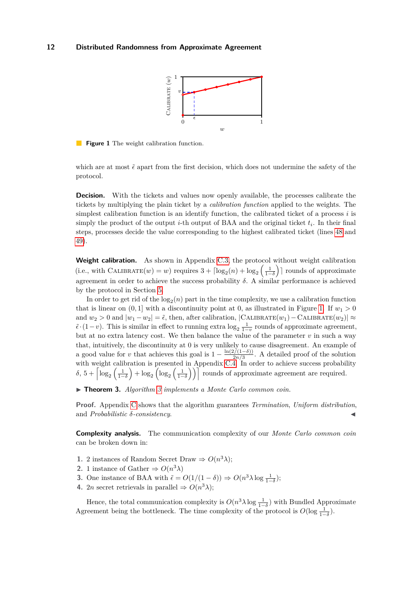

<span id="page-11-0"></span>**Figure 1** The weight calibration function.

which are at most  $\tilde{\epsilon}$  apart from the first decision, which does not undermine the safety of the protocol.

**Decision.** With the tickets and values now openly available, the processes calibrate the tickets by multiplying the plain ticket by a *calibration function* applied to the weights. The simplest calibration function is an identify function, the calibrated ticket of a process *i* is simply the product of the output *i*-th output of BAA and the original ticket *t<sup>i</sup>* . In their final steps, processes decide the value corresponding to the highest calibrated ticket (lines [48](#page-10-5) and [49\)](#page-10-6).

**Weight calibration.** As shown in Appendix [C.3,](#page-23-1) the protocol without weight calibration  $(i.e., with CALIBRATE(w) = w)$  requires  $3 + \lceil \log_2(n) + \log_2\left(\frac{1}{1-\delta}\right) \rceil$  rounds of approximate agreement in order to achieve the success probability  $\delta$ . A similar performance is achieved by the protocol in Section [5.](#page-9-0)

In order to get rid of the  $log_2(n)$  part in the time complexity, we use a calibration function that is linear on  $(0, 1]$  with a discontinuity point at 0, as illustrated in Figure [1.](#page-11-0) If  $w_1 > 0$ and  $w_2 > 0$  and  $|w_1 - w_2| = \tilde{\epsilon}$ , then, after calibration,  $|$ CALIBRATE $(w_1) -$ CALIBRATE $(w_2)$  $| \approx$  $\tilde{\epsilon} \cdot (1-v)$ . This is similar in effect to running extra  $\log_2 \frac{1}{1-v}$  rounds of approximate agreement, but at no extra latency cost. We then balance the value of the parameter  $v$  in such a way that, intuitively, the discontinuity at 0 is very unlikely to cause disagreement. An example of a good value for *v* that achieves this goal is  $1 - \frac{\ln(2/(1-\delta))}{2n/3}$  $\frac{27(1-\sigma)}{2n/3}$ . A detailed proof of the solution with weight calibration is presented in Appendix [C.4.](#page-26-0) In order to achieve success probability  $\delta$ ,  $5 + \left\lceil \log_2\left(\frac{1}{1-\delta}\right) + \log_2\left(\log_2\left(\frac{1}{1-\delta}\right)\right) \right\rceil$  rounds of approximate agreement are required.

▶ **Theorem [3](#page-10-7).** *Algorithm 3 implements a Monte Carlo common coin.* 

**Proof.** Appendix [C](#page-23-0) shows that the algorithm guarantees *Termination*, *Uniform distribution*, and *Probabilistic δ-consistency*. J

**Complexity analysis.** The communication complexity of our *Monte Carlo common coin* can be broken down in:

- **1.** 2 instances of Random Secret Draw  $\Rightarrow$   $O(n^3\lambda)$ ;
- **2.** 1 instance of Gather  $\Rightarrow$   $O(n^3\lambda)$
- **3.** One instance of BAA with  $\tilde{\epsilon} = O(1/(1 \delta)) \Rightarrow O(n^3 \lambda \log \frac{1}{1-\delta})$ ;
- **4.** 2*n* secret retrievals in parallel  $\Rightarrow$   $O(n^3\lambda);$

Hence, the total communication complexity is  $O(n^3 \lambda \log \frac{1}{1-\delta})$  with Bundled Approximate Agreement being the bottleneck. The time complexity of the protocol is  $O(\log \frac{1}{1-\delta})$ .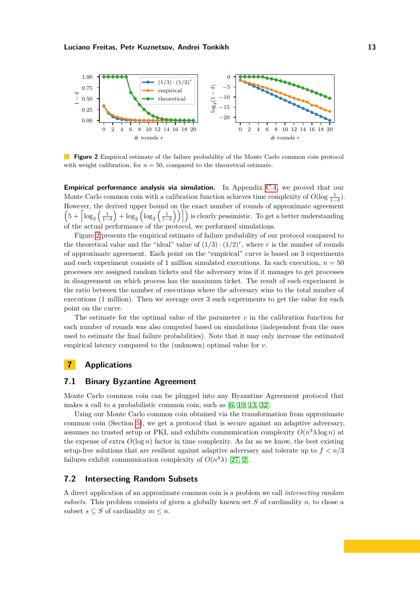<span id="page-12-1"></span>

**Figure 2** Empirical estimate of the failure probability of the Monte Carlo common coin protocol with weight calibration, for  $n = 50$ , compared to the theoretical estimate.

**Empirical performance analysis via simulation.** In Appendix [C.4,](#page-26-0) we proved that our Monte Carlo common coin with a calibration function achieves time complexity of  $O(\log \frac{1}{1-\delta})$ . However, the derived upper bound on the exact number of rounds of approximate agreement  $\left(5+\left\lceil\log_2\left(\frac{1}{1-\delta}\right)+\log_2\left(\log_2\left(\frac{1}{1-\delta}\right)\right)\right\rceil\right)$  is clearly pessimistic. To get a better understanding of the actual performance of the protocol, we performed simulations.

Figure [2](#page-12-1) presents the empirical estimate of failure probability of our protocol compared to the theoretical value and the "ideal" value of  $(1/3) \cdot (1/2)^r$ , where r is the number of rounds of approximate agreement. Each point on the "empirical" curve is based on 3 experiments and each experiment consists of 1 million simulated executions. In each execution,  $n = 50$ processes are assigned random tickets and the adversary wins if it manages to get processes in disagreement on which process has the maximum ticket. The result of each experiment is the ratio between the number of executions where the adversary wins to the total number of executions (1 million). Then we average over 3 such experiments to get the value for each point on the curve.

The estimate for the optimal value of the parameter  $v$  in the calibration function for each number of rounds was also computed based on simulations (independent from the ones used to estimate the final failure probabilities). Note that it may only increase the estimated empirical latency compared to the (unknown) optimal value for *v*.

## <span id="page-12-0"></span>**7 Applications**

## **7.1 Binary Byzantine Agreement**

Monte Carlo common coin can be plugged into any Byzantine Agreement protocol that makes a call to a probabilistic common coin, such as [\[6,](#page-16-8) [10,](#page-16-5) [13,](#page-16-9) [32\]](#page-17-7).

Using our Monte Carlo common coin obtained via the transformation from approximate common coin (Section [5\)](#page-9-0), we get a protocol that is secure against an adaptive adversary, assumes no trusted setup or PKI, and exhibits communication complexity  $O(n^3 \lambda \log n)$  at the expense of extra  $O(\log n)$  factor in time complexity. As far as we know, the best existing setup-free solutions that are resilient against adaptive adversary and tolerate up to  $f < n/3$ failures exhibit communication complexity of  $O(n^4\lambda)$  [\[27,](#page-17-8) [2\]](#page-16-10).

## <span id="page-12-2"></span>**7.2 Intersecting Random Subsets**

A direct application of an approximate common coin is a problem we call *intersecting random subsets*. This problem consists of given a globally known set *S* of cardinality *n*, to chose a subset  $s \subseteq S$  of cardinality  $m \leq n$ .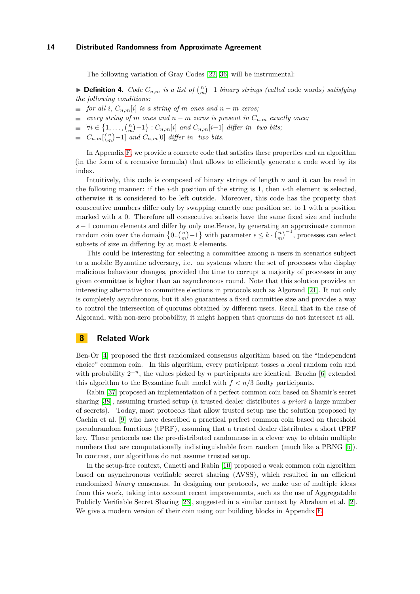The following variation of Gray Codes [\[22,](#page-17-9) [36\]](#page-18-1) will be instrumental:

▶ **Definition 4.** *Code*  $C_{n,m}$  *is a list of*  $\binom{n}{m}$  -1 *binary strings (called* code words) *satisfying the following conditions:*

- $\blacksquare$  *for all i*,  $C_{n,m}[i]$  *is a string of m ones and*  $n m$  *zeros;*
- *every string of m ones and*  $n m$  *zeros is present in*  $C_{n,m}$  *exactly once*;
- $\forall i \in \{1, \ldots, {n \choose m} 1\} : C_{n,m}[i] \text{ and } C_{n,m}[i-1] \text{ differ in two bits};$
- $C_{n,m}$ [ $\binom{n}{m}$ -1] *and*  $C_{n,m}$ [0] *differ in two bits.*

In Appendix [F,](#page-31-1) we provide a concrete code that satisfies these properties and an algorithm (in the form of a recursive formula) that allows to efficiently generate a code word by its index.

Intuitively, this code is composed of binary strings of length *n* and it can be read in the following manner: if the *i*-th position of the string is 1, then *i*-th element is selected, otherwise it is considered to be left outside. Moreover, this code has the property that consecutive numbers differ only by swapping exactly one position set to 1 with a position marked with a 0. Therefore all consecutive subsets have the same fixed size and include *s* − 1 common elements and differ by only one.Hence, by generating an approximate common random coin over the domain  $\{0..\binom{n}{m}-1\}$  with parameter  $\epsilon \leq k \cdot \binom{n}{m}^{-1}$ , processes can select subsets of size *m* differing by at most *k* elements.

This could be interesting for selecting a committee among *n* users in scenarios subject to a mobile Byzantine adversary, i.e. on systems where the set of processes who display malicious behaviour changes, provided the time to corrupt a majority of processes in any given committee is higher than an asynchronous round. Note that this solution provides an interesting alternative to committee elections in protocols such as Algorand [\[21\]](#page-17-15). It not only is completely asynchronous, but it also guarantees a fixed committee size and provides a way to control the intersection of quorums obtained by different users. Recall that in the case of Algorand, with non-zero probability, it might happen that quorums do not intersect at all.

## <span id="page-13-0"></span>**8 Related Work**

Ben-Or [\[4\]](#page-16-0) proposed the first randomized consensus algorithm based on the "independent choice" common coin. In this algorithm, every participant tosses a local random coin and with probability  $2^{-n}$ , the values picked by *n* participants are identical. Bracha [\[6\]](#page-16-8) extended this algorithm to the Byzantine fault model with  $f < n/3$  faulty participants.

Rabin [\[37\]](#page-18-3) proposed an implementation of a perfect common coin based on Shamir's secret sharing [\[38\]](#page-18-4), assuming trusted setup (a trusted dealer distributes *a priori* a large number of secrets). Today, most protocols that allow trusted setup use the solution proposed by Cachin et al. [\[9\]](#page-16-3) who have described a practical perfect common coin based on threshold pseudorandom functions (tPRF), assuming that a trusted dealer distributes a short tPRF key. These protocols use the pre-distributed randomness in a clever way to obtain multiple numbers that are computationally indistinguishable from random (much like a PRNG [\[5\]](#page-16-14)). In contrast, our algorithms do not assume trusted setup.

In the setup-free context, Canetti and Rabin [\[10\]](#page-16-5) proposed a weak common coin algorithm based on asynchronous verifiable secret sharing (AVSS), which resulted in an efficient randomized *binary* consensus. In designing our protocols, we make use of multiple ideas from this work, taking into account recent improvements, such as the use of Aggregatable Publicly Verifiable Secret Sharing [\[23\]](#page-17-10), suggested in a similar context by Abraham et al. [\[2\]](#page-16-10). We give a modern version of their coin using our building blocks in Appendix [E.](#page-31-0)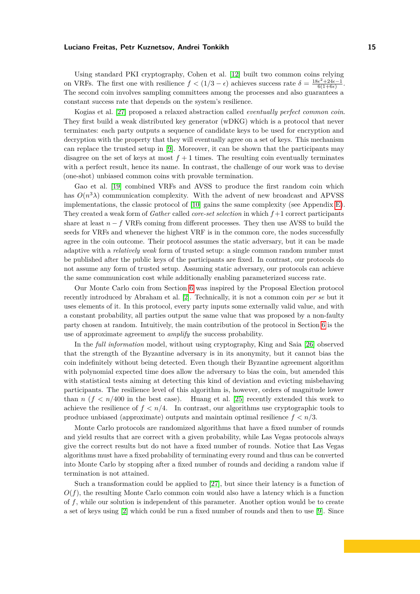Using standard PKI cryptography, Cohen et al. [\[12\]](#page-16-15) built two common coins relying on VRFs. The first one with resilience  $f < (1/3 - \epsilon)$  achieves success rate  $\delta = \frac{18\epsilon^2 + 24\epsilon - 1}{6(1+6\epsilon)}$ . The second coin involves sampling committees among the processes and also guarantees a constant success rate that depends on the system's resilience.

Kogias et al. [\[27\]](#page-17-8) proposed a relaxed abstraction called *eventually perfect common coin*. They first build a weak distributed key generator (wDKG) which is a protocol that never terminates: each party outputs a sequence of candidate keys to be used for encryption and decryption with the property that they will eventually agree on a set of keys. This mechanism can replace the trusted setup in [\[9\]](#page-16-3). Moreover, it can be shown that the participants may disagree on the set of keys at most  $f + 1$  times. The resulting coin eventually terminates with a perfect result, hence its name. In contrast, the challenge of our work was to devise (one-shot) unbiased common coins with provable termination.

Gao et al. [\[19\]](#page-17-13) combined VRFs and AVSS to produce the first random coin which has  $O(n^3\lambda)$  communication complexity. With the advent of new broadcast and APVSS implementations, the classic protocol of [\[10\]](#page-16-5) gains the same complexity (see Appendix [E\)](#page-31-0). They created a weak form of *Gather* called *core-set selection* in which *f* +1 correct participants share at least  $n - f$  VRFs coming from different processes. They then use AVSS to build the seeds for VRFs and whenever the highest VRF is in the common core, the nodes successfully agree in the coin outcome. Their protocol assumes the static adversary, but it can be made adaptive with a *relatively weak* form of trusted setup: a single common random number must be published after the public keys of the participants are fixed. In contrast, our protocols do not assume any form of trusted setup. Assuming static adversary, our protocols can achieve the same communication cost while additionally enabling parameterized success rate.

Our Monte Carlo coin from Section [6](#page-9-1) was inspired by the Proposal Election protocol recently introduced by Abraham et al. [\[2\]](#page-16-10). Technically, it is not a common coin *per se* but it uses elements of it. In this protocol, every party inputs some externally valid value, and with a constant probability, all parties output the same value that was proposed by a non-faulty party chosen at random. Intuitively, the main contribution of the protocol in Section [6](#page-9-1) is the use of approximate agreement to *amplify* the success probability.

In the *full information* model, without using cryptography, King and Saia [\[26\]](#page-17-16) observed that the strength of the Byzantine adversary is in its anonymity, but it cannot bias the coin indefinitely without being detected. Even though their Byzantine agreement algorithm with polynomial expected time does allow the adversary to bias the coin, but amended this with statistical tests aiming at detecting this kind of deviation and evicting misbehaving participants. The resilience level of this algorithm is, however, orders of magnitude lower than *n*  $(f < n/400$  in the best case). Huang et al. [\[25\]](#page-17-17) recently extended this work to achieve the resilience of  $f < n/4$ . In contrast, our algorithms use cryptographic tools to produce unbiased (approximate) outputs and maintain optimal resilience *f < n/*3.

Monte Carlo protocols are randomized algorithms that have a fixed number of rounds and yield results that are correct with a given probability, while Las Vegas protocols always give the correct results but do not have a fixed number of rounds. Notice that Las Vegas algorithms must have a fixed probability of terminating every round and thus can be converted into Monte Carlo by stopping after a fixed number of rounds and deciding a random value if termination is not attained.

Such a transformation could be applied to [\[27\]](#page-17-8), but since their latency is a function of  $O(f)$ , the resulting Monte Carlo common coin would also have a latency which is a function of *f*, while our solution is independent of this parameter. Another option would be to create a set of keys using [\[2\]](#page-16-10) which could be run a fixed number of rounds and then to use [\[9\]](#page-16-3). Since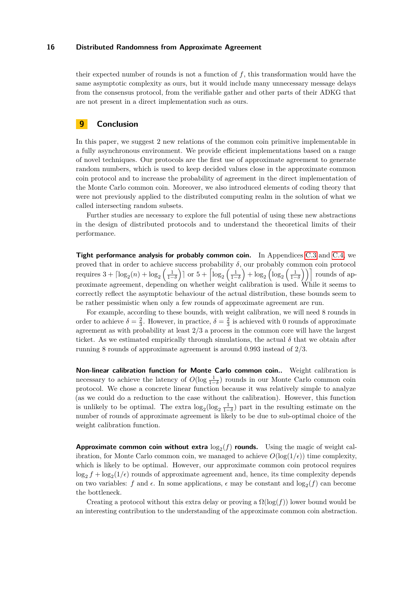their expected number of rounds is not a function of *f*, this transformation would have the same asymptotic complexity as ours, but it would include many unnecessary message delays from the consensus protocol, from the verifiable gather and other parts of their ADKG that are not present in a direct implementation such as ours.

## <span id="page-15-0"></span>**9 Conclusion**

In this paper, we suggest 2 new relations of the common coin primitive implementable in a fully asynchronous environment. We provide efficient implementations based on a range of novel techniques. Our protocols are the first use of approximate agreement to generate random numbers, which is used to keep decided values close in the approximate common coin protocol and to increase the probability of agreement in the direct implementation of the Monte Carlo common coin. Moreover, we also introduced elements of coding theory that were not previously applied to the distributed computing realm in the solution of what we called intersecting random subsets.

Further studies are necessary to explore the full potential of using these new abstractions in the design of distributed protocols and to understand the theoretical limits of their performance.

**Tight performance analysis for probably common coin.** In Appendices [C.3](#page-23-1) and [C.4,](#page-26-0) we proved that in order to achieve success probability  $\delta$ , our probably common coin protocol requires  $3 + \lceil \log_2(n) + \log_2\left(\frac{1}{1-\delta}\right) \rceil$  or  $5 + \lceil \log_2\left(\frac{1}{1-\delta}\right) + \log_2\left(\log_2\left(\frac{1}{1-\delta}\right)\right) \rceil$  rounds of approximate agreement, depending on whether weight calibration is used. While it seems to correctly reflect the asymptotic behaviour of the actual distribution, these bounds seem to be rather pessimistic when only a few rounds of approximate agreement are run.

For example, according to these bounds, with weight calibration, we will need 8 rounds in order to achieve  $\delta = \frac{2}{3}$ . However, in practice,  $\delta = \frac{2}{3}$  is achieved with 0 rounds of approximate agreement as with probability at least 2*/*3 a process in the common core will have the largest ticket. As we estimated empirically through simulations, the actual  $\delta$  that we obtain after running 8 rounds of approximate agreement is around 0*.*993 instead of 2*/*3.

**Non-linear calibration function for Monte Carlo common coin..** Weight calibration is necessary to achieve the latency of  $O(\log \frac{1}{1-\delta})$  rounds in our Monte Carlo common coin protocol. We chose a concrete linear function because it was relatively simple to analyze (as we could do a reduction to the case without the calibration). However, this function is unlikely to be optimal. The extra  $\log_2(\log_2 \frac{1}{1-\delta})$  part in the resulting estimate on the number of rounds of approximate agreement is likely to be due to sub-optimal choice of the weight calibration function.

**Approximate common coin without extra**  $\log_2(f)$  rounds. Using the magic of weight calibration, for Monte Carlo common coin, we managed to achieve  $O(\log(1/\epsilon))$  time complexity, which is likely to be optimal. However, our approximate common coin protocol requires  $\log_2 f + \log_2(1/\epsilon)$  rounds of approximate agreement and, hence, its time complexity depends on two variables:  $f$  and  $\epsilon$ . In some applications,  $\epsilon$  may be constant and  $\log_2(f)$  can become the bottleneck.

Creating a protocol without this extra delay or proving a  $\Omega(\log(f))$  lower bound would be an interesting contribution to the understanding of the approximate common coin abstraction.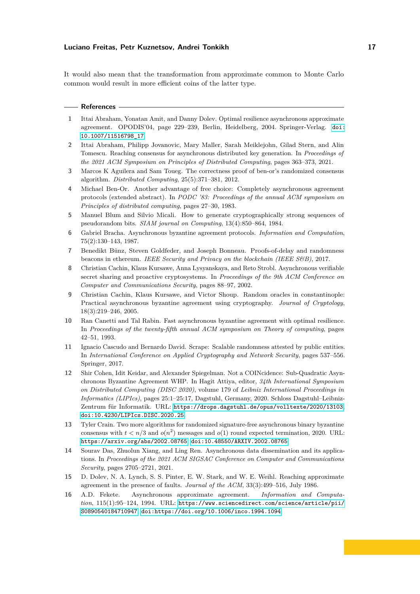It would also mean that the transformation from approximate common to Monte Carlo common would result in more efficient coins of the latter type.

#### **References**

- <span id="page-16-7"></span>**1** Ittai Abraham, Yonatan Amit, and Danny Dolev. Optimal resilience asynchronous approximate agreement. OPODIS'04, page 229–239, Berlin, Heidelberg, 2004. Springer-Verlag. [doi:](https://doi.org/10.1007/11516798_17) [10.1007/11516798\\_17](https://doi.org/10.1007/11516798_17).
- <span id="page-16-10"></span>**2** Ittai Abraham, Philipp Jovanovic, Mary Maller, Sarah Meiklejohn, Gilad Stern, and Alin Tomescu. Reaching consensus for asynchronous distributed key generation. In *Proceedings of the 2021 ACM Symposium on Principles of Distributed Computing*, pages 363–373, 2021.
- <span id="page-16-1"></span>**3** Marcos K Aguilera and Sam Toueg. The correctness proof of ben-or's randomized consensus algorithm. *Distributed Computing*, 25(5):371–381, 2012.
- <span id="page-16-0"></span>**4** Michael Ben-Or. Another advantage of free choice: Completely asynchronous agreement protocols (extended abstract). In *PODC '83: Proceedings of the annual ACM symposium on Principles of distributed computing*, pages 27–30, 1983.
- <span id="page-16-14"></span>**5** Manuel Blum and Silvio Micali. How to generate cryptographically strong sequences of pseudorandom bits. *SIAM journal on Computing*, 13(4):850–864, 1984.
- <span id="page-16-8"></span>**6** Gabriel Bracha. Asynchronous byzantine agreement protocols. *Information and Computation*, 75(2):130–143, 1987.
- <span id="page-16-4"></span>**7** Benedikt Bünz, Steven Goldfeder, and Joseph Bonneau. Proofs-of-delay and randomness beacons in ethereum. *IEEE Security and Privacy on the blockchain (IEEE S&B)*, 2017.
- <span id="page-16-12"></span>**8** Christian Cachin, Klaus Kursawe, Anna Lysyanskaya, and Reto Strobl. Asynchronous verifiable secret sharing and proactive cryptosystems. In *Proceedings of the 9th ACM Conference on Computer and Communications Security*, pages 88–97, 2002.
- <span id="page-16-3"></span>**9** Christian Cachin, Klaus Kursawe, and Victor Shoup. Random oracles in constantinople: Practical asynchronous byzantine agreement using cryptography. *Journal of Cryptology*, 18(3):219–246, 2005.
- <span id="page-16-5"></span>**10** Ran Canetti and Tal Rabin. Fast asynchronous byzantine agreement with optimal resilience. In *Proceedings of the twenty-fifth annual ACM symposium on Theory of computing*, pages 42–51, 1993.
- <span id="page-16-2"></span>**11** Ignacio Cascudo and Bernardo David. Scrape: Scalable randomness attested by public entities. In *International Conference on Applied Cryptography and Network Security*, pages 537–556. Springer, 2017.
- <span id="page-16-15"></span>**12** Shir Cohen, Idit Keidar, and Alexander Spiegelman. Not a COINcidence: Sub-Quadratic Asynchronous Byzantine Agreement WHP. In Hagit Attiya, editor, *34th International Symposium on Distributed Computing (DISC 2020)*, volume 179 of *Leibniz International Proceedings in Informatics (LIPIcs)*, pages 25:1–25:17, Dagstuhl, Germany, 2020. Schloss Dagstuhl–Leibniz-Zentrum für Informatik. URL: <https://drops.dagstuhl.de/opus/volltexte/2020/13103>, [doi:10.4230/LIPIcs.DISC.2020.25](https://doi.org/10.4230/LIPIcs.DISC.2020.25).
- <span id="page-16-9"></span>**13** Tyler Crain. Two more algorithms for randomized signature-free asynchronous binary byzantine consensus with  $t < n/3$  and  $o(n^2)$  messages and  $o(1)$  round expected termination, 2020. URL: <https://arxiv.org/abs/2002.08765>, [doi:10.48550/ARXIV.2002.08765](https://doi.org/10.48550/ARXIV.2002.08765).
- <span id="page-16-11"></span>**14** Sourav Das, Zhuolun Xiang, and Ling Ren. Asynchronous data dissemination and its applications. In *Proceedings of the 2021 ACM SIGSAC Conference on Computer and Communications Security*, pages 2705–2721, 2021.
- <span id="page-16-6"></span>**15** D. Dolev, N. A. Lynch, S. S. Pinter, E. W. Stark, and W. E. Weihl. Reaching approximate agreement in the presence of faults. *Journal of the ACM*, 33(3):499–516, July 1986.
- <span id="page-16-13"></span>**16** A.D. Fekete. Asynchronous approximate agreement. *Information and Computation*, 115(1):95–124, 1994. URL: [https://www.sciencedirect.com/science/article/pii/](https://www.sciencedirect.com/science/article/pii/S0890540184710947) [S0890540184710947](https://www.sciencedirect.com/science/article/pii/S0890540184710947), [doi:https://doi.org/10.1006/inco.1994.1094](https://doi.org/https://doi.org/10.1006/inco.1994.1094).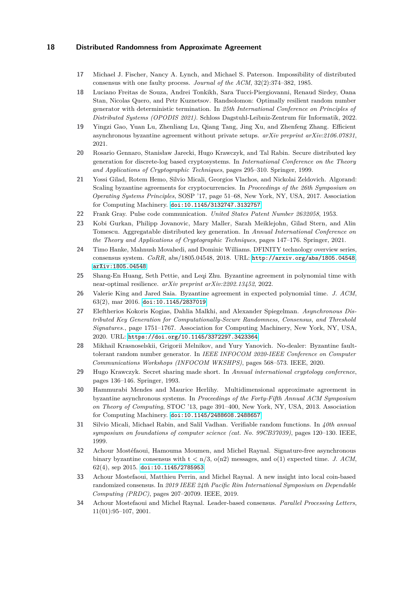- <span id="page-17-6"></span>**17** Michael J. Fischer, Nancy A. Lynch, and Michael S. Paterson. Impossibility of distributed consensus with one faulty process. *Journal of the ACM*, 32(2):374–382, 1985.
- <span id="page-17-5"></span>**18** Luciano Freitas de Souza, Andrei Tonkikh, Sara Tucci-Piergiovanni, Renaud Sirdey, Oana Stan, Nicolas Quero, and Petr Kuznetsov. Randsolomon: Optimally resilient random number generator with deterministic termination. In *25th International Conference on Principles of Distributed Systems (OPODIS 2021)*. Schloss Dagstuhl-Leibniz-Zentrum für Informatik, 2022.
- <span id="page-17-13"></span>**19** Yingzi Gao, Yuan Lu, Zhenliang Lu, Qiang Tang, Jing Xu, and Zhenfeng Zhang. Efficient asynchronous byzantine agreement without private setups. *arXiv preprint arXiv:2106.07831*, 2021.
- <span id="page-17-0"></span>**20** Rosario Gennaro, Stanisław Jarecki, Hugo Krawczyk, and Tal Rabin. Secure distributed key generation for discrete-log based cryptosystems. In *International Conference on the Theory and Applications of Cryptographic Techniques*, pages 295–310. Springer, 1999.
- <span id="page-17-15"></span>**21** Yossi Gilad, Rotem Hemo, Silvio Micali, Georgios Vlachos, and Nickolai Zeldovich. Algorand: Scaling byzantine agreements for cryptocurrencies. In *Proceedings of the 26th Symposium on Operating Systems Principles*, SOSP '17, page 51–68, New York, NY, USA, 2017. Association for Computing Machinery. [doi:10.1145/3132747.3132757](https://doi.org/10.1145/3132747.3132757).
- <span id="page-17-9"></span>**22** Frank Gray. Pulse code communication. *United States Patent Number 2632058*, 1953.
- <span id="page-17-10"></span>**23** Kobi Gurkan, Philipp Jovanovic, Mary Maller, Sarah Meiklejohn, Gilad Stern, and Alin Tomescu. Aggregatable distributed key generation. In *Annual International Conference on the Theory and Applications of Cryptographic Techniques*, pages 147–176. Springer, 2021.
- <span id="page-17-3"></span>**24** Timo Hanke, Mahnush Movahedi, and Dominic Williams. DFINITY technology overview series, consensus system. *CoRR*, abs/1805.04548, 2018. URL: <http://arxiv.org/abs/1805.04548>, [arXiv:1805.04548](http://arxiv.org/abs/1805.04548).
- <span id="page-17-17"></span>**25** Shang-En Huang, Seth Pettie, and Leqi Zhu. Byzantine agreement in polynomial time with near-optimal resilience. *arXiv preprint arXiv:2202.13452*, 2022.
- <span id="page-17-16"></span>**26** Valerie King and Jared Saia. Byzantine agreement in expected polynomial time. *J. ACM*, 63(2), mar 2016. [doi:10.1145/2837019](https://doi.org/10.1145/2837019).
- <span id="page-17-8"></span>**27** Eleftherios Kokoris Kogias, Dahlia Malkhi, and Alexander Spiegelman. *Asynchronous Distributed Key Generation for Computationally-Secure Randomness, Consensus, and Threshold Signatures.*, page 1751–1767. Association for Computing Machinery, New York, NY, USA, 2020. URL: <https://doi.org/10.1145/3372297.3423364>.
- <span id="page-17-4"></span>**28** Mikhail Krasnoselskii, Grigorii Melnikov, and Yury Yanovich. No-dealer: Byzantine faulttolerant random number generator. In *IEEE INFOCOM 2020-IEEE Conference on Computer Communications Workshops (INFOCOM WKSHPS)*, pages 568–573. IEEE, 2020.
- <span id="page-17-11"></span>**29** Hugo Krawczyk. Secret sharing made short. In *Annual international cryptology conference*, pages 136–146. Springer, 1993.
- <span id="page-17-14"></span>**30** Hammurabi Mendes and Maurice Herlihy. Multidimensional approximate agreement in byzantine asynchronous systems. In *Proceedings of the Forty-Fifth Annual ACM Symposium on Theory of Computing*, STOC '13, page 391–400, New York, NY, USA, 2013. Association for Computing Machinery. [doi:10.1145/2488608.2488657](https://doi.org/10.1145/2488608.2488657).
- <span id="page-17-12"></span>**31** Silvio Micali, Michael Rabin, and Salil Vadhan. Verifiable random functions. In *40th annual symposium on foundations of computer science (cat. No. 99CB37039)*, pages 120–130. IEEE, 1999.
- <span id="page-17-7"></span>**32** Achour Mostéfaoui, Hamouma Moumen, and Michel Raynal. Signature-free asynchronous binary byzantine consensus with  $t < n/3$ ,  $o(n2)$  messages, and  $o(1)$  expected time. *J. ACM*, 62(4), sep 2015. [doi:10.1145/2785953](https://doi.org/10.1145/2785953).
- <span id="page-17-2"></span>**33** Achour Mostefaoui, Matthieu Perrin, and Michel Raynal. A new insight into local coin-based randomized consensus. In *2019 IEEE 24th Pacific Rim International Symposium on Dependable Computing (PRDC)*, pages 207–20709. IEEE, 2019.
- <span id="page-17-1"></span>**34** Achour Mostefaoui and Michel Raynal. Leader-based consensus. *Parallel Processing Letters*, 11(01):95–107, 2001.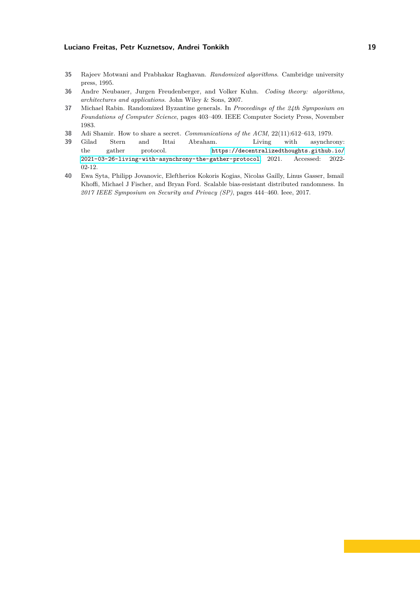- <span id="page-18-5"></span>**35** Rajeev Motwani and Prabhakar Raghavan. *Randomized algorithms*. Cambridge university press, 1995.
- <span id="page-18-1"></span>**36** Andre Neubauer, Jurgen Freudenberger, and Volker Kuhn. *Coding theory: algorithms, architectures and applications*. John Wiley & Sons, 2007.
- <span id="page-18-3"></span>**37** Michael Rabin. Randomized Byzantine generals. In *Proceedings of the 24th Symposium on Foundations of Computer Science*, pages 403–409. IEEE Computer Society Press, November 1983.
- <span id="page-18-4"></span>**38** Adi Shamir. How to share a secret. *Communications of the ACM*, 22(11):612–613, 1979.
- <span id="page-18-2"></span>**39** Gilad Stern and Ittai Abraham. Living with asynchrony: the gather protocol. [https://decentralizedthoughts.github.io/](https://decentralizedthoughts.github.io/2021-03-26-living-with-asynchrony-the-gather-protocol) [2021-03-26-living-with-asynchrony-the-gather-protocol](https://decentralizedthoughts.github.io/2021-03-26-living-with-asynchrony-the-gather-protocol), 2021. Accessed: 2022- 02-12.
- <span id="page-18-0"></span>**40** Ewa Syta, Philipp Jovanovic, Eleftherios Kokoris Kogias, Nicolas Gailly, Linus Gasser, Ismail Khoffi, Michael J Fischer, and Bryan Ford. Scalable bias-resistant distributed randomness. In *2017 IEEE Symposium on Security and Privacy (SP)*, pages 444–460. Ieee, 2017.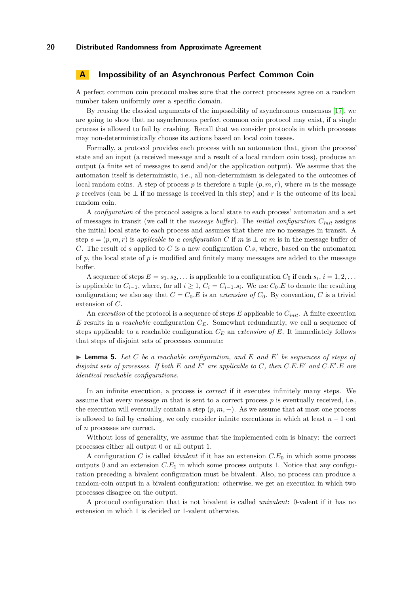## <span id="page-19-0"></span>**A Impossibility of an Asynchronous Perfect Common Coin**

A perfect common coin protocol makes sure that the correct processes agree on a random number taken uniformly over a specific domain.

By reusing the classical arguments of the impossibility of asynchronous consensus [\[17\]](#page-17-6), we are going to show that no asynchronous perfect common coin protocol may exist, if a single process is allowed to fail by crashing. Recall that we consider protocols in which processes may non-deterministically choose its actions based on local coin tosses.

Formally, a protocol provides each process with an automaton that, given the process' state and an input (a received message and a result of a local random coin toss), produces an output (a finite set of messages to send and/or the application output). We assume that the automaton itself is deterministic, i.e., all non-determinism is delegated to the outcomes of local random coins. A step of process  $p$  is therefore a tuple  $(p, m, r)$ , where  $m$  is the message *p* receives (can be ⊥ if no message is received in this step) and *r* is the outcome of its local random coin.

A *configuration* of the protocol assigns a local state to each process' automaton and a set of messages in transit (we call it the *message buffer*). The *initial configuration Cinit* assigns the initial local state to each process and assumes that there are no messages in transit. A step  $s = (p, m, r)$  is *applicable to a configuration* C if m is  $\perp$  or m is in the message buffer of *C*. The result of *s* applied to *C* is a new configuration *C.s*, where, based on the automaton of  $p$ , the local state of  $p$  is modified and finitely many messages are added to the message buffer.

A sequence of steps  $E = s_1, s_2, \ldots$  is applicable to a configuration  $C_0$  if each  $s_i, i = 1, 2, \ldots$ is applicable to  $C_{i-1}$ , where, for all  $i \geq 1$ ,  $C_i = C_{i-1}$ .  $s_i$ . We use  $C_0$ . E to denote the resulting configuration; we also say that  $C = C_0.E$  is an *extension of*  $C_0$ . By convention,  $C$  is a trivial extension of *C*.

An *execution* of the protocol is a sequence of steps *E* applicable to *Cinit*. A finite execution *E* results in a *reachable* configuration *CE*. Somewhat redundantly, we call a sequence of steps applicable to a reachable configuration *C<sup>E</sup>* an *extension of E*. It immediately follows that steps of disjoint sets of processes commute:

 $\blacktriangleright$  **Lemma 5.** Let C be a reachable configuration, and E and E' be sequences of steps of *disjoint sets of processes. If both*  $E$  *and*  $E'$  *are applicable to*  $C$ *, then*  $C.E.E'$  *and*  $C.E'.E$  *are identical reachable configurations.*

In an infinite execution, a process is *correct* if it executes infinitely many steps. We assume that every message  $m$  that is sent to a correct process  $p$  is eventually received, i.e., the execution will eventually contain a step  $(p, m, -)$ . As we assume that at most one process is allowed to fail by crashing, we only consider infinite executions in which at least  $n-1$  out of *n* processes are correct.

Without loss of generality, we assume that the implemented coin is binary: the correct processes either all output 0 or all output 1.

A configuration *C* is called *bivalent* if it has an extension *C.E*<sup>0</sup> in which some process outputs 0 and an extension  $C.E_1$  in which some process outputs 1. Notice that any configuration preceding a bivalent configuration must be bivalent. Also, no process can produce a random-coin output in a bivalent configuration: otherwise, we get an execution in which two processes disagree on the output.

<span id="page-19-1"></span>A protocol configuration that is not bivalent is called *univalent*: 0-valent if it has no extension in which 1 is decided or 1-valent otherwise.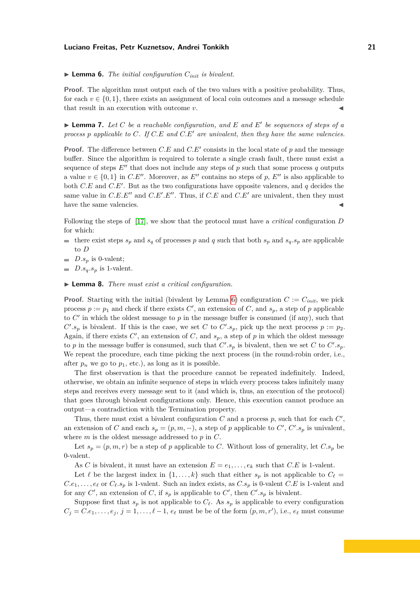$\blacktriangleright$  **Lemma 6.** *The initial configuration*  $C_{init}$  *is bivalent.* 

**Proof.** The algorithm must output each of the two values with a positive probability. Thus, for each  $v \in \{0,1\}$ , there exists an assignment of local coin outcomes and a message schedule that result in an execution with outcome  $v$ .

<span id="page-20-0"></span> $\blacktriangleright$  **Lemma 7.** Let C be a reachable configuration, and E and E' be sequences of steps of a *process p applicable to C. If C.E and C.E*<sup>0</sup> *are univalent, then they have the same valencies.*

**Proof.** The difference between  $C.E$  and  $C.E'$  consists in the local state of  $p$  and the message buffer. Since the algorithm is required to tolerate a single crash fault, there must exist a sequence of steps  $E''$  that does not include any steps of p such that some process q outputs a value  $v \in \{0, 1\}$  in *C.E''*. Moreover, as *E''* contains no steps of p, E'' is also applicable to both  $C.E$  and  $C.E'$ . But as the two configurations have opposite valences, and  $q$  decides the same value in  $C.E.E''$  and  $C.E'.E''$ . Thus, if  $C.E$  and  $C.E'$  are univalent, then they must have the same valencies.

Following the steps of [\[17\]](#page-17-6), we show that the protocol must have a *critical* configuration *D* for which:

- $\blacksquare$  there exist steps  $s_p$  and  $s_q$  of processes *p* and *q* such that both  $s_p$  and  $s_q.s_p$  are applicable to *D*
- $D.s_p$  is 0-valent;
- $D.s<sub>a</sub>.s<sub>p</sub>$  is 1-valent.

<span id="page-20-1"></span>I **Lemma 8.** *There must exist a critical configuration.*

**Proof.** Starting with the initial (bivalent by Lemma [6\)](#page-19-1) configuration  $C := C_{init}$ , we pick process  $p := p_1$  and check if there exists  $C'$ , an extension of  $C$ , and  $s_p$ , a step of  $p$  applicable to  $C'$  in which the oldest message to  $p$  in the message buffer is consumed (if any), such that  $C'$ ,  $s_p$  is bivalent. If this is the case, we set *C* to  $C'$ ,  $s_p$ , pick up the next process  $p := p_2$ . Again, if there exists  $C'$ , an extension of  $C$ , and  $s_p$ , a step of  $p$  in which the oldest message to *p* in the message buffer is consumed, such that  $C'.s_p$  is bivalent, then we set *C* to  $C'.s_p$ . We repeat the procedure, each time picking the next process (in the round-robin order, i.e., after  $p_n$  we go to  $p_1$ , etc.), as long as it is possible.

The first observation is that the procedure cannot be repeated indefinitely. Indeed, otherwise, we obtain an infinite sequence of steps in which every process takes infinitely many steps and receives every message sent to it (and which is, thus, an execution of the protocol) that goes through bivalent configurations only. Hence, this execution cannot produce an output—a contradiction with the Termination property.

Thus, there must exist a bivalent configuration  $C$  and a process  $p$ , such that for each  $C'$ , an extension of *C* and each  $s_p = (p, m, -)$ , a step of *p* applicable to *C*<sup>*'*</sup>, *C*<sup>*'*</sup>. $s_p$  is univalent, where *m* is the oldest message addressed to *p* in *C*.

Let  $s_p = (p, m, r)$  be a step of *p* applicable to *C*. Without loss of generality, let  $C.s_p$  be 0-valent.

As *C* is bivalent, it must have an extension  $E = e_1, \ldots, e_k$  such that *C.E* is 1-valent.

Let  $\ell$  be the largest index in  $\{1, \ldots, k\}$  such that either  $s_p$  is not applicable to  $C_{\ell}$  =  $C.e<sub>1</sub>,...,e<sub>\ell</sub>$  or  $C_{\ell}.s<sub>p</sub>$  is 1-valent. Such an index exists, as  $C.s<sub>p</sub>$  is 0-valent  $C.E$  is 1-valent and for any  $C'$ , an extension of  $C$ , if  $s_p$  is applicable to  $C'$ , then  $C'$ .  $s_p$  is bivalent.

Suppose first that  $s_p$  is not applicable to  $C_\ell$ . As  $s_p$  is applicable to every configuration  $C_j = C.e_1, \ldots, e_j, j = 1, \ldots, \ell - 1, e_\ell$  must be be of the form  $(p, m, r')$ , i.e.,  $e_\ell$  must consume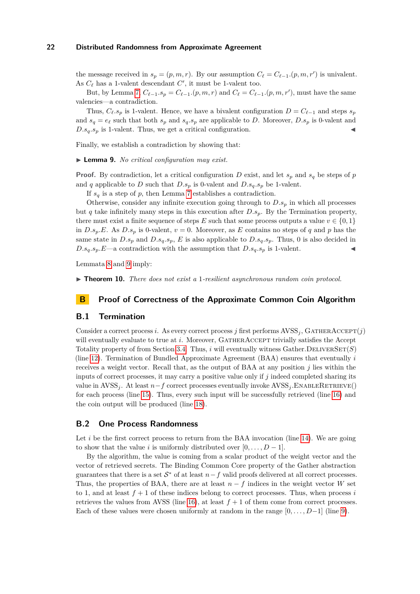the message received in  $s_p = (p, m, r)$ . By our assumption  $C_\ell = C_{\ell-1}$ *.* $(p, m, r')$  is univalent. As  $C_{\ell}$  has a 1-valent descendant  $C'$ , it must be 1-valent too.

But, by Lemma [7,](#page-20-0)  $C_{\ell-1}.s_p = C_{\ell-1}.(p, m, r)$  and  $C_{\ell} = C_{\ell-1}.(p, m, r')$ , must have the same valencies—a contradiction.

Thus,  $C_{\ell}$  *s*<sub>*p*</sub> is 1-valent. Hence, we have a bivalent configuration  $D = C_{\ell-1}$  and steps  $s_p$ and  $s_q = e_\ell$  such that both  $s_p$  and  $s_q.s_p$  are applicable to *D*. Moreover,  $D.s_p$  is 0-valent and  $D.s_q.s_p$  is 1-valent. Thus, we get a critical configuration.

<span id="page-21-2"></span>Finally, we establish a contradiction by showing that:

▶ **Lemma 9.** *No critical configuration may exist.* 

**Proof.** By contradiction, let a critical configuration *D* exist, and let  $s_p$  and  $s_q$  be steps of *p* and *q* applicable to *D* such that  $D.s_p$  is 0-valent and  $D.s_q.s_p$  be 1-valent.

If  $s_q$  is a step of  $p$ , then Lemma [7](#page-20-0) establishes a contradiction.

Otherwise, consider any infinite execution going through to *D.s<sup>p</sup>* in which all processes but *q* take infinitely many steps in this execution after  $D.s_p$ . By the Termination property, there must exist a finite sequence of steps *E* such that some process outputs a value  $v \in \{0, 1\}$ in *D.s<sub>p</sub>*.E. As *D.s<sub>p</sub>* is 0-valent,  $v = 0$ . Moreover, as *E* contains no steps of *q* and *p* has the same state in  $D.s_p$  and  $D.s_q.s_p$ ,  $E$  is also applicable to  $D.s_q.s_p$ . Thus, 0 is also decided in  $D.s_q.s_p.E \longrightarrow$  contradiction with the assumption that  $D.s_q.s_p$  is 1-valent.

Lemmata [8](#page-20-1) and [9](#page-21-2) imply:

▶ **Theorem 10.** *There does not exist a* 1-resilient asynchronous random coin protocol.

## <span id="page-21-0"></span>**B Proof of Correctness of the Approximate Common Coin Algorithm**

#### **B.1 Termination**

Consider a correct process *i*. As every correct process *j* first performs  $AVSS<sub>i</sub>$ , GATHERACCEPT(*j*) will eventually evaluate to true at *i*. Moreover, GATHERACCEPT trivially satisfies the Accept Totality property of from Section [3.4.](#page-5-0) Thus,  $i$  will eventually witness Gather. DELIVERSET( $S$ ) (line [12\)](#page-7-2). Termination of Bundled Approximate Agreement (BAA) ensures that eventually *i* receives a weight vector. Recall that, as the output of BAA at any position *j* lies within the inputs of correct processes, it may carry a positive value only if *j* indeed completed sharing its value in  $AVSS<sub>i</sub>$ . At least  $n-f$  correct processes eventually invoke  $AVSS<sub>i</sub>$ . ENABLERETRIEVE() for each process (line [15\)](#page-7-5). Thus, every such input will be successfully retrieved (line [16\)](#page-7-6) and the coin output will be produced (line [18\)](#page-7-8).

## <span id="page-21-1"></span>**B.2 One Process Randomness**

Let *i* be the first correct process to return from the BAA invocation (line [14\)](#page-7-4). We are going to show that the value *i* is uniformly distributed over  $[0, \ldots, D-1]$ .

By the algorithm, the value is coming from a scalar product of the weight vector and the vector of retrieved secrets. The Binding Common Core property of the Gather abstraction guarantees that there is a set  $S^*$  of at least  $n-f$  valid proofs delivered at all correct processes. Thus, the properties of BAA, there are at least  $n - f$  indices in the weight vector *W* set to 1, and at least  $f + 1$  of these indices belong to correct processes. Thus, when process *i* retrieves the values from AVSS (line [16\)](#page-7-6), at least  $f + 1$  of them come from correct processes. Each of these values were chosen uniformly at random in the range  $[0, \ldots, D-1]$  (line [9\)](#page-7-9).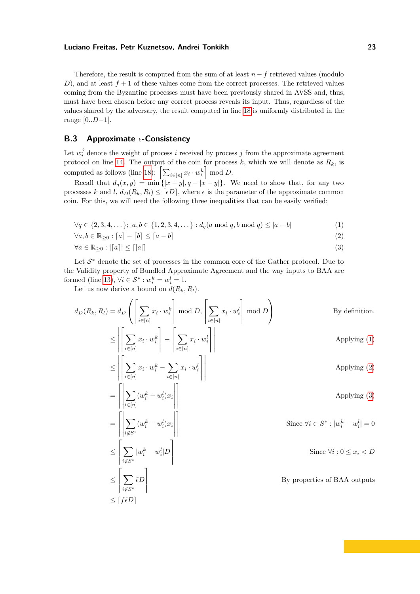Therefore, the result is computed from the sum of at least  $n - f$  retrieved values (modulo *D*), and at least  $f + 1$  of these values come from the correct processes. The retrieved values coming from the Byzantine processes must have been previously shared in AVSS and, thus, must have been chosen before any correct process reveals its input. Thus, regardless of the values shared by the adversary, the result computed in line [18](#page-7-8) is uniformly distributed in the range [0*..D*−1].

# <span id="page-22-0"></span>**B.3** Approximate  $\epsilon$ -Consistency

Let  $w_i^j$  denote the weight of process *i* received by process *j* from the approximate agreement protocol on line [14.](#page-7-4) The output of the coin for process  $k$ , which we will denote as  $R_k$ , is computed as follows (line [18\)](#page-7-8):  $\left[\sum_{i \in [n]} x_i \cdot w_i^k\right] \mod D$ .

Recall that  $d_q(x, y) = \min\{|x - y|, q - |x - y|\}.$  We need to show that, for any two processes *k* and *l*,  $d_D(R_k, R_l) \leq [\epsilon D]$ , where  $\epsilon$  is the parameter of the approximate common coin. For this, we will need the following three inequalities that can be easily verified:

<span id="page-22-2"></span><span id="page-22-1"></span>
$$
\forall q \in \{2, 3, 4, \dots\}; \ a, b \in \{1, 2, 3, 4, \dots\} : d_q(a \bmod q, b \bmod q) \le |a - b|
$$
 (1)

 $\forall a, b \in \mathbb{R}_{\geq 0} : [a] - [b] \leq [a - b]$  (2)

<span id="page-22-3"></span>
$$
\forall a \in \mathbb{R}_{\geq 0} : |a| \leq |a| \tag{3}
$$

Let  $S^*$  denote the set of processes in the common core of the Gather protocol. Due to the Validity property of Bundled Approximate Agreement and the way inputs to BAA are formed (line [13\)](#page-7-3),  $\forall i \in S^* : w_i^k = w_i^l = 1.$ 

Let us now derive a bound on  $d(R_k, R_l)$ .

$$
d_D(R_k, R_l) = d_D\left(\left[\sum_{i\in[n]} x_i \cdot w_i^k\right] \mod D, \left[\sum_{i\in[n]} x_i \cdot w_i^l\right] \mod D\right)
$$
By definition.  

$$
\leq \left|\left[\sum_{i\in[n]} x_i \cdot w_i^k\right] - \left|\sum_{i\in[n]} x_i \cdot w_i^l\right|\right|
$$
Applying (1)  

$$
\leq \left|\left[\sum_{i\in[n]} x_i \cdot w_i^k - \sum_{i\in[n]} x_i \cdot w_i^l\right]\right|
$$
Applying (2)  

$$
= \left|\left|\sum_{i\in[n]} (w_i^k - w_i^l)x_i\right|\right|
$$
Applying (3)  

$$
= \left|\left|\sum_{i\notin S^*} (w_i^k - w_i^l)x_i\right|\right|
$$
Since  $\forall i \in S^* : |w_i^k - w_i^l| = 0$   

$$
\leq \left[\sum_{i\notin S^*} |w_i^k - w_i^l|D\right]
$$
Since  $\forall i : 0 \leq x_i < D$   

$$
\leq \left[\sum_{i\notin S^*} \tilde{\epsilon}D\right]
$$
By properties of BAA outputs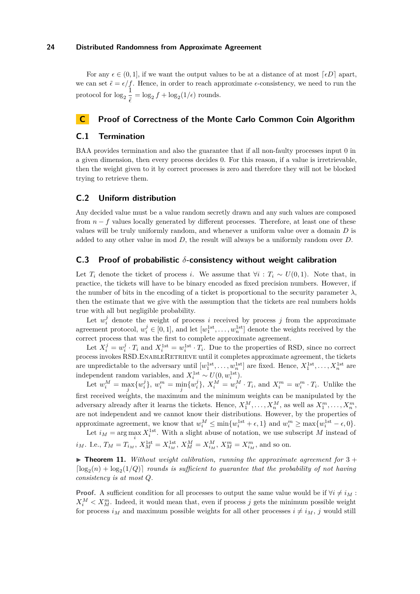For any  $\epsilon \in (0,1]$ , if we want the output values to be at a distance of at most  $\lceil \epsilon D \rceil$  apart, we can set  $\tilde{\epsilon} = \epsilon / f$ . Hence, in order to reach approximate  $\epsilon$ -consistency, we need to run the protocol for  $\log_2 \frac{1}{z}$  $\frac{1}{\tilde{\epsilon}} = \log_2 f + \log_2(1/\epsilon)$  rounds.

# <span id="page-23-0"></span>**C Proof of Correctness of the Monte Carlo Common Coin Algorithm**

# **C.1 Termination**

BAA provides termination and also the guarantee that if all non-faulty processes input 0 in a given dimension, then every process decides 0. For this reason, if a value is irretrievable, then the weight given to it by correct processes is zero and therefore they will not be blocked trying to retrieve them.

# **C.2 Uniform distribution**

Any decided value must be a value random secretly drawn and any such values are composed from  $n - f$  values locally generated by different processes. Therefore, at least one of these values will be truly uniformly random, and whenever a uniform value over a domain *D* is added to any other value in mod *D*, the result will always be a uniformly random over *D*.

# <span id="page-23-1"></span>**C.3 Proof of probabilistic** *δ***-consistency without weight calibration**

Let  $T_i$  denote the ticket of process *i*. We assume that  $\forall i : T_i \sim U(0,1)$ . Note that, in practice, the tickets will have to be binary encoded as fixed precision numbers. However, if the number of bits in the encoding of a ticket is proportional to the security parameter  $\lambda$ , then the estimate that we give with the assumption that the tickets are real numbers holds true with all but negligible probability.

Let  $w_i^j$  denote the weight of process *i* received by process *j* from the approximate agreement protocol,  $w_i^j \in [0,1]$ , and let  $[w_1^{\text{1st}}, \ldots, w_n^{\text{1st}}]$  denote the weights received by the correct process that was the first to complete approximate agreement.

Let  $X_i^j = w_i^j \cdot T_i$  and  $X_i^{\text{1st}} = w_i^{\text{1st}} \cdot T_i$ . Due to the properties of RSD, since no correct process invokes RSD. ENABLERETRIEVE until it completes approximate agreement, the tickets are unpredictable to the adversary until  $[w_1^{1st}, \ldots, w_n^{1st}]$  are fixed. Hence,  $X_1^{1st}, \ldots, X_n^{1st}$  are independent random variables, and  $X_i^{\text{1st}} \sim U(0, w_i^{\text{1st}})$ .

Let  $w_i^M = \max_j \{w_i^j\}$ ,  $w_i^m = \min_j \{w_i^j\}$ ,  $X_i^M = w_i^M \cdot T_i$ , and  $X_i^m = w_i^m \cdot T_i$ . Unlike the first received weights, the maximum and the minimum weights can be manipulated by the adversary already after it learns the tickets. Hence,  $X_1^M, \ldots, X_n^M$ , as well as  $X_1^m, \ldots, X_n^m$ , are not independent and we cannot know their distributions. However, by the properties of approximate agreement, we know that  $w_i^M \le \min\{w_i^{\text{1st}} + \epsilon, 1\}$  and  $w_i^m \ge \max\{w_i^{\text{1st}} - \epsilon, 0\}.$ 

Let  $i_M = \arg \max_i X_i^{\text{1st}}$ . With a slight abuse of notation, we use subscript *M* instead of  $i_M$ . I.e.,  $T_M = T_{i_M}$ ,  $X_M^{\text{1st}} = X_{i_M}^{\text{1st}}$ ,  $X_M^M = X_{i_M}^M$ ,  $X_M^m = X_{i_M}^m$ , and so on.

 $\triangleright$  **Theorem 11.** *Without weight calibration, running the approximate agreement for*  $3 +$  $\lceil \log_2(n) + \log_2(1/Q) \rceil$  *rounds is sufficient to guarantee that the probability of not having consistency is at most Q.*

**Proof.** A sufficient condition for all processes to output the same value would be if  $\forall i \neq i_M$ :  $X_i^M < X_M^m$ . Indeed, it would mean that, even if process *j* gets the minimum possible weight for process  $i_M$  and maximum possible weights for all other processes  $i \neq i_M$ , *j* would still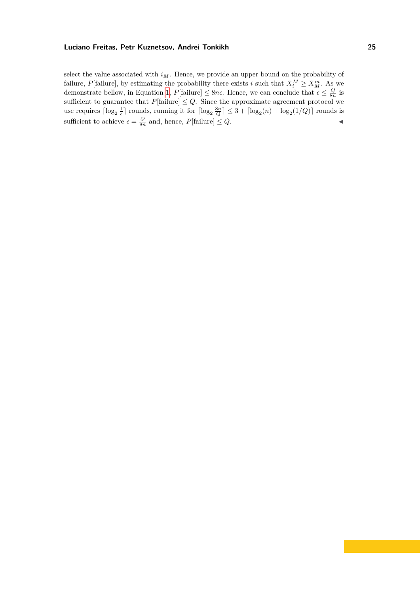select the value associated with  $i_M$ . Hence, we provide an upper bound on the probability of failure, *P*[failure], by estimating the probability there exists *i* such that  $X_i^M \ge X_M^m$ . As we demonstrate bellow, in Equation [1,](#page-25-0)  $P[\text{failure}] \leq 8n\epsilon$ . Hence, we can conclude that  $\epsilon \leq \frac{Q}{8n}$  is sufficient to guarantee that  $P[\text{failure}] \leq Q$ . Since the approximate agreement protocol we use requires  $\lceil \log_2 \frac{1}{\epsilon} \rceil$  rounds, running it for  $\lceil \log_2 \frac{8n}{Q} \rceil \leq 3 + \lceil \log_2(n) + \log_2(1/Q) \rceil$  rounds is sufficient to achieve  $\epsilon = \frac{Q}{8n}$  and, hence,  $P[\text{failure}] \leq Q$ .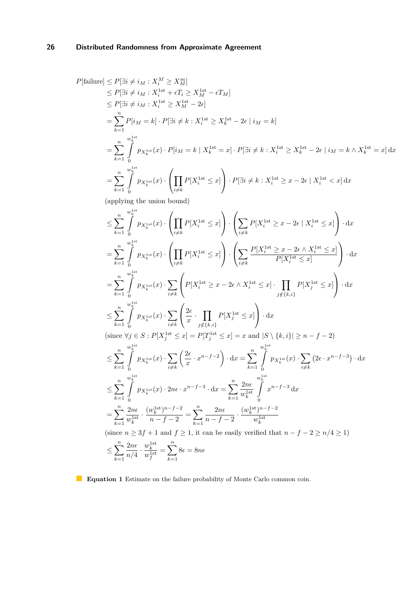<span id="page-25-0"></span>
$$
P[\text{failure}] \leq P[\exists i \neq i_M : X_i^M \geq X_M^{\alpha_i}]
$$
\n
$$
\leq P[\exists i \neq i_M : X_i^M \geq X_M^{\alpha_i}]
$$
\n
$$
\leq P[\exists i \neq i_M : X_i^{\text{1st}} \geq X_i^{\text{1st}} - \epsilon T_M]
$$
\n
$$
\leq P[\exists i \neq i_M : X_i^{\text{1st}} \geq X_i^{\text{1st}} - 2\epsilon]
$$
\n
$$
= \sum_{k=1}^{n} P[i_M = k] \cdot P[\exists i \neq k : X_i^{\text{1st}} \geq X_k^{\text{1st}} - 2\epsilon \mid i_M = k]
$$
\n
$$
= \sum_{k=1}^{n} \int_{0}^{w_{k}^{\text{1st}}}{p_{X_k^{\text{1st}}}(x) \cdot P[i_M = k \mid X_k^{\text{1st}} = x] \cdot P[\exists i \neq k : X_i^{\text{1st}} \geq X_k^{\text{1st}} - 2\epsilon \mid i_M = k \land X_k^{\text{1st}} = x] \cdot dx
$$
\n(applying the union bound)\n
$$
\leq \sum_{k=1}^{n} \int_{0}^{w_{k}^{\text{1st}}}{p_{X_k^{\text{1st}}}(x) \cdot \left(\prod_{i \neq k} P[X_i^{\text{1st}} \leq x] \right) \cdot \left(\sum_{i \neq k} P[X_i^{\text{1st}} \geq x - 2\epsilon \mid X_i^{\text{1st}} \leq x] \right) \cdot dx
$$
\n
$$
= \sum_{k=1}^{n} \int_{0}^{w_{k}^{\text{1st}}}{p_{X_k^{\text{1st}}}(x) \cdot \left(\prod_{i \neq k} P[X_i^{\text{1st}} \leq x] \right) \cdot \left(\sum_{i \neq k} P[X_i^{\text{1st}} \geq x - 2\epsilon \mid X_i^{\text{1st}} \leq x] \right) \cdot dx
$$
\n
$$
= \sum_{k=1}^{n} \int_{0}^{w_{k}^{\text{1st}}}{p_{X_k^{\text{1st}}}(x) \cdot \left(\prod_{i \neq k} P[X_i^{\text{1st}} \leq x] \right) \cdot \left(\sum_{i \neq k} \frac{P[X_i^{\
$$

**Equation 1** Estimate on the failure probability of Monte Carlo common coin.

*k*=1

*k*=1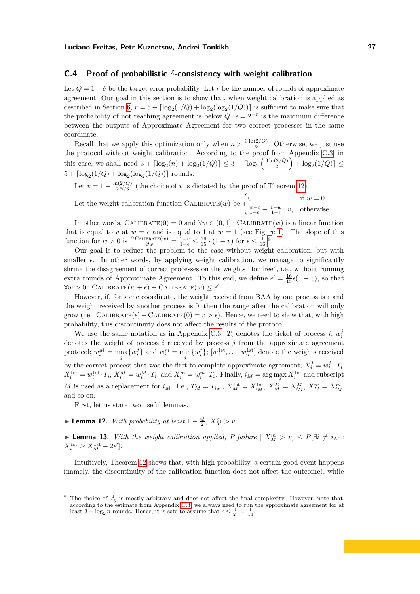## <span id="page-26-0"></span>**C.4 Proof of probabilistic** *δ***-consistency with weight calibration**

Let  $Q = 1 - \delta$  be the target error probability. Let r be the number of rounds of approximate agreement. Our goal in this section is to show that, when weight calibration is applied as described in Section [6,](#page-9-1)  $r = 5 + \lceil \log_2(1/Q) + \log_2(\log_2(1/Q)) \rceil$  is sufficient to make sure that the probability of not reaching agreement is below  $Q$ .  $\epsilon = 2^{-r}$  is the maximum difference between the outputs of Approximate Agreement for two correct processes in the same coordinate.

Recall that we apply this optimization only when  $n > \frac{3\ln(2/Q)}{2}$ . Otherwise, we just use the protocol without weight calibration. According to the proof from Appendix [C.3,](#page-23-1) in this case, we shall need  $3 + \lceil \log_2(n) + \log_2(1/Q) \rceil \leq 3 + \lceil \log_2(\frac{3\ln(2/Q)}{2}) \rceil$  $\frac{(2/Q)}{2}$  +  $\log_2(1/Q)$   $\le$  $5 + \lceil \log_2(1/Q) + \log_2(\log_2(1/Q)) \rceil$  rounds.

Let  $v = 1 - \frac{\ln(2/Q)}{2N/3}$  $\frac{\ln(2/Q)}{2N/3}$  (the choice of *v* is dictated by the proof of Theorem [12\)](#page-26-1).

Let the weight calibration function 
$$
\text{CALIBRATE}(w)
$$
 be  $\begin{cases} 0, & \text{if } w = 0 \\ \frac{w-\epsilon}{1-\epsilon} + \frac{1-w}{1-\epsilon} \cdot v, & \text{otherwise} \end{cases}$ 

In other words, CALIBRATE $(0) = 0$  and  $\forall w \in (0, 1]$ : CALIBRATE $(w)$  is a linear function that is equal to *v* at  $w = \epsilon$  and is equal to 1 at  $w = 1$  (see Figure [1\)](#page-11-0). The slope of this function for  $w > 0$  is  $\frac{\partial \text{CALIBRATE}(w)}{\partial w} = \frac{1-v}{1-\epsilon} \le \frac{16}{15} \cdot (1-v)$  for  $\epsilon \le \frac{1}{16}$ .

Our goal is to reduce the problem to the case without weight calibration, but with smaller  $\epsilon$ . In other words, by applying weight calibration, we manage to significantly shrink the disagreement of correct processes on the weights "for free", i.e., without running extra rounds of Approximate Agreement. To this end, we define  $\epsilon' = \frac{16}{15}\epsilon(1-v)$ , so that  $\forall w > 0 : \text{CALIBRATE}(w + \epsilon) - \text{CALIBRATE}(w) \leq \epsilon'.$ 

However, if, for some coordinate, the weight received from BAA by one process is  $\epsilon$  and the weight received by another process is 0, then the range after the calibration will only grow (i.e., CALIBRATE $(\epsilon)$  – CALIBRATE $(0) = v > \epsilon$ ). Hence, we need to show that, with high probability, this discontinuity does not affect the results of the protocol.

We use the same notation as in Appendix [C.3:](#page-23-1)  $T_i$  denotes the ticket of process *i*;  $w_i^j$ denotes the weight of process *i* received by process *j* from the approximate agreement protocol;  $w_i^M = \max_j \{w_i^j\}$  and  $w_i^m = \min_j \{w_i^j\}$ ;  $[w_1^{\text{1st}}, \dots, w_n^{\text{1st}}]$  denote the weights received by the correct process that was the first to complete approximate agreement;  $X_i^j = w_i^j \cdot T_i$ ,  $X_i^{\text{1st}} = w_i^{\text{1st}} \cdot T_i, X_i^M = w_i^M \cdot T_i$ , and  $X_i^m = w_i^m \cdot T_i$ . Finally,  $i_M = \arg \max_i X_i^{\text{1st}}$  and subscript M is used as a replacement for  $i_M$ . I.e.,  $T_M = T_{i_M}$ ,  $X_M^{\text{1st}} = X_{i_M}^{\text{1st}}$ ,  $X_M^M = X_{i_M}^M$ ,  $X_M^m = X_{i_M}^m$ , and so on.

First, let us state two useful lemmas.

<span id="page-26-1"></span>► **Lemma 12.** *With probability at least*  $1 - \frac{Q}{2}$ ,  $X_M^m > v$ .

<span id="page-26-3"></span>▶ **Lemma 13.** *With the weight calibration applied,*  $P[failure \mid X_M^m > v] \leq P[∃i ≠ i_M :$  $X_i^{\text{1st}} \ge X_M^{\text{1st}} - 2\epsilon'$ .

Intuitively, Theorem [12](#page-26-1) shows that, with high probability, a certain good event happens (namely, the discontinuity of the calibration function does not affect the outcome), while

<span id="page-26-2"></span><sup>&</sup>lt;sup>8</sup> The choice of  $\frac{1}{16}$  is mostly arbitrary and does not affect the final complexity. However, note that, according to the estimate from Appendix [C.3,](#page-23-1) we always need to run the approximate agreement for at least  $3 + \log_2 n$  rounds. Hence, it is safe to assume that  $\epsilon \leq \frac{1}{2^4} = \frac{1}{16}$ .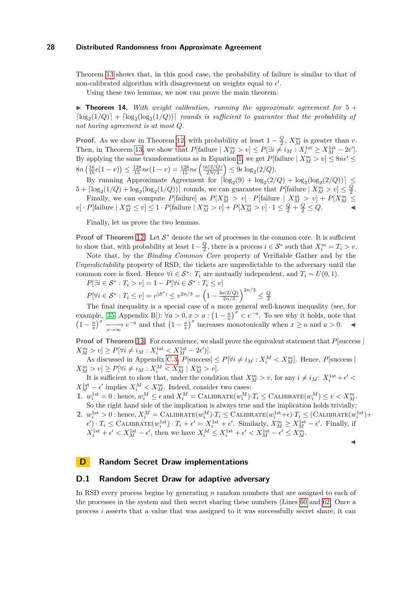Theorem [13](#page-26-3) shows that, in this good case, the probability of failure is similar to that of non-calibrated algorithm with disagreement on weights equal to  $\epsilon'$ .

Using these two lemmas, we now can prove the main theorem:

 $\triangleright$  **Theorem 14.** *With weight calibration, running the approximate agreement for*  $5 +$  $\lceil \log_2(1/Q) \rceil + \lceil \log_2(\log_2(1/Q)) \rceil$  *rounds is sufficient to guarantee that the probability of not having agreement is at most Q.*

**Proof.** As we show in Theorem [12,](#page-26-1) with probability at least  $1 - \frac{Q}{2}$ ,  $X_M^m$  is greater than *v*. Then, in Theorem [13,](#page-26-3) we show that  $P[\text{failure} \mid X_M^m > v] \le P[\exists i \neq i_M : X_i^{\text{1st}} \ge X_M^{\text{1st}} - 2\epsilon']$ . By applying the same transformations as in Equation [1,](#page-25-0) we get  $P[\text{failure} \mid X_M^m > v] \leq 8n\epsilon' \leq$  $8n\left(\frac{16}{15}\epsilon(1-v)\right) \leq \frac{128}{15}n\epsilon(1-v) = \frac{128}{15}n\epsilon\left(\frac{\ln(2/Q)}{2N/3}\right)$  $\left(\frac{n(2/Q)}{2N/3}\right) \leq 9\epsilon \log_2(2/Q).$ 

By running Approximate Agreement for  $\lceil \log_2(9) + \log_2(2/Q) + \log_2(\log_2(2/Q)) \rceil \le$  $5 + \lceil \log_2(1/Q) + \log_2(\log_2(1/Q)) \rceil$  rounds, we can guarantee that  $P[\text{failure} \mid X_M^m > v] \leq \frac{Q}{2}$ .

Finally, we can compute P[failure] as  $P[X_M^m > v] \cdot P[\text{failure} | X_M^m > v] + P[X_M^m \le w]$  $v \cdot P[\text{failure} \mid X_M^m \le v] \le 1 \cdot P[\text{failure} \mid X_M^m > v] + P[X_M^m > v] \cdot 1 \le \frac{Q}{2} + \frac{Q}{2} \le Q.$ 

Finally, let us prove the two lemmas.

**Proof of Theorem [12.](#page-26-1)** Let  $S^*$  denote the set of processes in the common core. It is sufficient to show that, with probability at least  $1 - \frac{Q}{2}$ , there is a process  $i \in S^*$  such that  $X_i^m = T_i > v$ .

Note that, by the *Binding Common Core* property of Verifiable Gather and by the *Unpredictability* property of RSD, the tickets are unpredictable to the adversary until the common core is fixed. Hence  $\forall i \in S^*$ :  $T_i$  are mutually independent, and  $T_i \sim U(0, 1)$ .

$$
P[\exists i \in S^* : T_i > v] = 1 - P[\forall i \in S^* : T_i \le v]
$$
  

$$
P[\forall i \in S^* : T_i > v] = |S^*| \le 2n/3 \cdot \left(1 - \ln(2/O)\right)^{2n/3}
$$

 $P[\forall i \in S^* : T_i \le v] = v^{|\mathcal{S}^*|} \le v^{2n/3} = \left(1 - \frac{\ln(2/Q)}{2n/3}\right)$  $\frac{2n(2/Q)}{2n/3}$ <sup>2*n*/3</sup>  $\leq \frac{Q}{2}$ 

The final inequality is a special case of a more general well-known inequality (see, for example, [\[35,](#page-18-5) Appendix B]):  $\forall a > 0, x > a : (1 - \frac{a}{x})^x < e^{-a}$ . To see why it holds, note that  $\left(1-\frac{a}{x}\right)^x$   $\xrightarrow[x\to\infty]{}$   $e^{-a}$  and that  $\left(1-\frac{a}{x}\right)^x$  increases monotonically when  $x\geq a$  and  $a>0$ . ◄

**Proof of Theorem [13.](#page-26-3)** For convenience, we shall prove the equivalent statement that  $P$ [success |  $X_M^m > v$ ]  $\geq P[\forall i \neq i_M : X_i^{\text{1st}} < X_M^{\text{1st}} - 2\epsilon']$ .

As discussed in Appendix [C.3,](#page-23-1)  $P[\text{success}] \leq P[\forall i \neq i_M : X_i^M < X_M^m]$ . Hence,  $P[\text{success}]$  $X_M^m > v$ ]  $\ge P[\forall i \ne i_M : X_i^M < X_M^m \mid X_M^m > v].$ 

It is sufficient to show that, under the condition that  $X_M^m > v$ , for any  $i \neq i_M$ :  $X_i^{1st} + \epsilon' <$  $X_M^{\text{1st}} - \epsilon'$  implies  $X_i^M < X_M^m$ . Indeed, consider two cases:

1.  $w_i^{1st} = 0$ : hence,  $w_i^M \leq \epsilon$  and  $X_i^M = \text{CALIBRATE}(w_i^M) \cdot T_i \leq \text{CALIBRATE}(w_i^M) \leq v < X_{M}^{m}$ . So the right hand side of the implication is always true and the implication holds trivially;

2.  $w_i^{\text{1st}} > 0$ : hence,  $X_i^M = \text{CALIBRATE}(w_i^M) \cdot T_i \leq \text{CALIBRATE}(w_i^{\text{1st}} + \epsilon) \cdot T_i \leq (\text{CALIBRATE}(w_i^{\text{1st}}) +$  $\epsilon'$ ) ·  $T_i \leq$  CALIBRATE $(w_i^{\text{1st}})$  ·  $T_i + \epsilon' = X_i^{\text{1st}} + \epsilon'$ . Similarly,  $X_M^m \geq X_M^{\text{1st}} - \epsilon'$ . Finally, if  $X_i^{\text{1st}} + \epsilon' < X_M^{\text{1st}} - \epsilon'$ , then we have  $X_i^M \le X_i^{\text{1st}} + \epsilon' < X_M^{\text{1st}} - \epsilon' \le X_M^m$ .

J

#### <span id="page-27-0"></span>**D Random Secret Draw implementations**

#### **D.1 Random Secret Draw for adaptive adversary**

In RSD every process begins by generating *n* random numbers that are assigned to each of the processes in the system and then secret sharing these numbers (Lines [60](#page-28-0) and [62.](#page-28-1) Once a process *i* asserts that a value that was assigned to it was successfully secret share, it can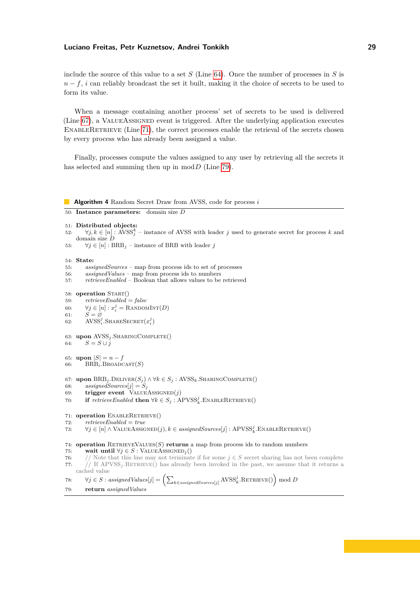include the source of this value to a set *S* (Line [64\)](#page-28-2). Once the number of processes in *S* is *n* − *f*, *i* can reliably broadcast the set it built, making it the choice of secrets to be used to form its value.

When a message containing another process' set of secrets to be used is delivered (Line [67\)](#page-28-3), a VALUEASSIGNED event is triggered. After the underlying application executes ENABLERETRIEVE (Line [71\)](#page-28-4), the correct processes enable the retrieval of the secrets chosen by every process who has already been assigned a value.

Finally, processes compute the values assigned to any user by retrieving all the secrets it has selected and summing then up in mod*D* (Line [79\)](#page-28-5).

#### **Algorithm 4** Random Secret Draw from AVSS, code for process *i*

```
50: Instance parameters: domain size D
```

```
51: Distributed objects:
```

```
52: \forall j, k \in [n] : \angle NSS^k_ij – instance of AVSS with leader j used to generate secret for process k and
    domain size D
```
53:  $\forall j \in [n] : BRB_j$  – instance of BRB with leader *j* 

```
54: State:
```
- 55: *assignedSources* map from process ids to set of processes
- 56: *assignedValues* map from process ids to numbers
- 57: *retrieveEnabled* Boolean that allows values to be retrieved

```
58: operation START()
```
- 59: *retrieveEnabled* = *false*
- <span id="page-28-0"></span>60:  $\forall j \in [n]: x_i^j = \text{RannonINT}(D)$
- 61:  $\tilde{S} = \tilde{\varnothing}$

```
62: AVSS<sup>j</sup>, SHARESECRET(x<sup>j</sup><sub>i</sub>)
```

```
63: upon AVSSj .SharingComplete()
64: S = S \cup i
```

```
65: upon |S| = n - f
```

```
66: BRBi.Broadcast(S)
```

```
67: upon \text{BRB}_j.Deliver(S_j) \wedge \forall k \in S_j: AVSS<sub>k</sub>.SHARINGCOMPLETE()
```
- 68:  $$
- 69: **trigger event** ValueAssigned(*j*)
- 70: **if**  $\text{refrieweEnabled}$  **then**  $\forall k \in S_j : \text{APVSS}_k^j$ . ENABLERETRIEVE()

<span id="page-28-4"></span>71: **operation** ENABLERETRIEVE()

72: *retrieveEnabled* = *true*

```
73: ∀j \in [n] ∧ ValueAssigned(j), k \in assigned Sources[j] : APVSS^j_k. EnableRetrieve()
```

```
74: operation RetrieveValues(S) returns a map from process ids to random numbers
```
- 75: **wait until**  $\forall j \in S$  : VALUEASSIGNED<sub>*j*</sub>()</sub>
- 76: // Note that this line may not terminate if for some  $j \in S$  secret sharing has not been complete
- 77:  $//$  If  $APVSS<sub>j</sub>$ .RETRIEVE() has already been invoked in the past, we assume that it returns a cached value

```
78: \forall j \in S : assignedValues[j] = \left( \sum_{k \in assignedSource[j]} \text{AVSS}_{k}^{j}.\text{RETRUE}() \right) \text{mod } D79: return assignedValues
```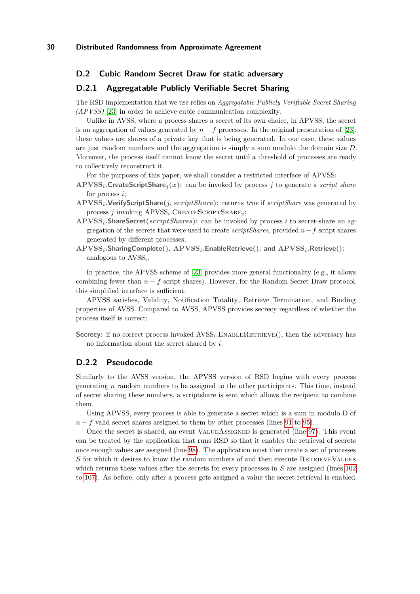## **D.2 Cubic Random Secret Draw for static adversary**

# <span id="page-29-0"></span>**D.2.1 Aggregatable Publicly Verifiable Secret Sharing**

The RSD implementation that we use relies on *Aggregatable Publicly Verifiable Secret Sharing (APVSS)* [\[23\]](#page-17-10) in order to achieve cubic communication complexity.

Unlike in AVSS, where a process shares a secret of its own choice, in APVSS, the secret is an aggregation of values generated by  $n - f$  processes. In the original presentation of [\[23\]](#page-17-10), these values are shares of a private key that is being generated. In our case, these values are just random numbers and the aggregation is simply a sum modulo the domain size *D*. Moreover, the process itself cannot know the secret until a threshold of processes are ready to collectively reconstruct it.

For the purposes of this paper, we shall consider a restricted interface of APVSS:

- **APVSS***i.***CreateScriptShare***<sup>j</sup>* **(***x***):** can be invoked by process *j* to generate a *script share* for process *i*;
- **APVSS***i.***VerifyScriptShare(***j, scriptShare***):** returns *true* if *scriptShare* was generated by process *j* invoking  $APVSS_i$ . CREATESCRIPTSHARE<sub>*j*</sub></sub>;
- **APVSS***i.***ShareSecret(***scriptShares***):** can be invoked by process *i* to secret-share an aggregation of the secrets that were used to create *scriptShares*, provided *n*−*f* script shares generated by different processes;
- **APVSS***i.***SharingComplete(), APVSS***i.***EnableRetrieve(), and APVSS***i.***Retrieve():** analogous to AVSS*<sup>i</sup>* .

In practice, the APVSS scheme of [\[23\]](#page-17-10) provides more general functionality (e.g., it allows combining fewer than  $n - f$  script shares). However, for the Random Secret Draw protocol, this simplified interface is sufficient.

APVSS satisfies, Validity, Notification Totality, Retrieve Termination, and Binding properties of AVSS. Compared to AVSS, APVSS provides secrecy regardless of whether the process itself is correct:

Secrecy: if no correct process invoked  $AVSS_i$ . ENABLERETRIEVE(), then the adversary has no information about the secret shared by *i*.

# **D.2.2 Pseudocode**

Similarly to the AVSS version, the APVSS version of RSD begins with every process generating *n* random numbers to be assigned to the other participants. This time, instead of secret sharing these numbers, a scriptshare is sent which allows the recipient to combine them.

Using APVSS, every process is able to generate a secret which is a sum in modulo D of  $n - f$  valid secret shares assigned to them by other processes (lines [91](#page-30-0) to [95\)](#page-30-1).

Once the secret is shared, an event ValueAssigned is generated (line [97\)](#page-30-2). This event can be treated by the application that runs RSD so that it enables the retrieval of secrets once enough values are assigned (line [98\)](#page-30-3). The application must then create a set of processes *S* for which it desires to know the random numbers of and then execute RETRIEVEVALUES which returns these values after the secrets for every processes in *S* are assigned (lines [102](#page-30-4) to [107\)](#page-30-5). As before, only after a process gets assigned a value the secret retrieval is enabled.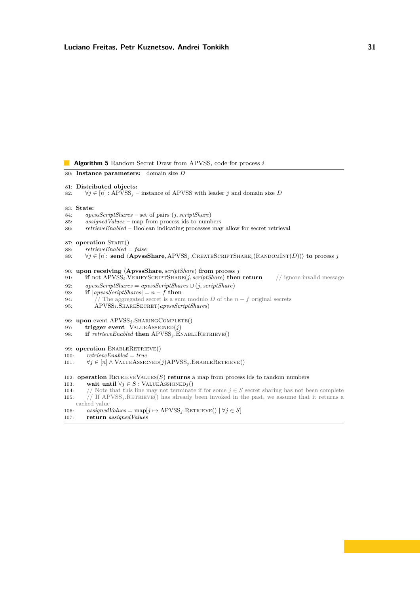**Algorithm 5** Random Secret Draw from APVSS, code for process *i*

- 80: **Instance parameters:** domain size *D*
- 81: **Distributed objects:**
- 82:  $\forall j \in [n] : APVSS_j$  instance of APVSS with leader *j* and domain size *D*
- 83: **State:**
- 84: *apvssScriptShares* set of pairs (*j, scriptShare*)
- 85:  $$
- 86: *retrieveEnabled* Boolean indicating processes may allow for secret retrieval
- 87: **operation** START()
- 88: *retrieveEnabled* = *false*
- 89: ∀*j* ∈ [*n*]: **send** h**ApvssShare***,* APVSS*<sup>j</sup> .*CreateScriptShare*i*(RandomInt(*D*))i **to** process *j*
- 90: **upon receiving**  $\langle$  **ApvssShare**, *scriptShare* $\rangle$  **from** process *j*
- <span id="page-30-0"></span>91: **if** not APVSS*i.*VerifyScriptShare(*j, scriptShare*) **then return** // ignore invalid message
- 92: *apvssScriptShares* = *apvssScriptShares* ∪ (*j, scriptShare*)
- 93: **if**  $|apussScriptShares| = n f$  **then**
- 94:  $\frac{1}{\sqrt{7}}$  The aggregated secret is a sum modulo *D* of the *n* − *f* original secrets
- <span id="page-30-1"></span>95: APVSS<sub>i</sub></sub>.SHARESECRET(*apvssScriptShares*)
- 96: **upon** event APVSS*<sup>j</sup> .*SharingComplete()
- <span id="page-30-2"></span>97: **trigger event**  $\text{VALUEASSIGNED}(j)$
- <span id="page-30-3"></span>98: **if** *retrieveEnabled* **then**  $APVSS_j$ .ENABLERETRIEVE()
- 99: **operation** ENABLERETRIEVE()
- 100: *retrieveEnabled* = *true*
- 101:  $\forall j \in [n] \land \text{VALUEASSIGNED}(j) \text{APVSS}_i \cdot \text{ENABLERETRIEVE}()$
- <span id="page-30-4"></span>102: **operation** RetrieveValues(*S*) **returns** a map from process ids to random numbers
- 103: **wait until**  $\forall j \in S$  : VALUEASSIGNED<sub>*i*</sub>()</sub>
- 104: // Note that this line may not terminate if for some  $j \in S$  secret sharing has not been complete 105:  $\frac{1}{16}$  If APVSS<sub>j</sub>.RETRIEVE() has already been invoked in the past, we assume that it returns a cached value
- <span id="page-30-5"></span>106:  $\qquad \text{assigned Values} = \text{map}[j \mapsto \text{APVSS}_j \cdot \text{RETRUE}() \mid \forall j \in S]$ 107: **return** *assignedValues*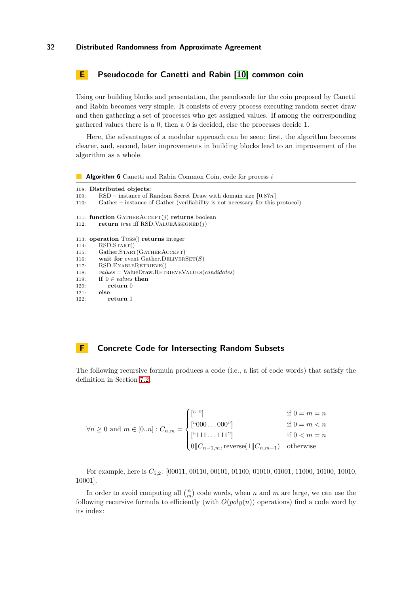# <span id="page-31-0"></span>**E Pseudocode for Canetti and Rabin [\[10\]](#page-16-5) common coin**

Using our building blocks and presentation, the pseudocode for the coin proposed by Canetti and Rabin becomes very simple. It consists of every process executing random secret draw and then gathering a set of processes who get assigned values. If among the corresponding gathered values there is a 0, then a 0 is decided, else the processes decide 1.

Here, the advantages of a modular approach can be seen: first, the algorithm becomes clearer, and, second, later improvements in building blocks lead to an improvement of the algorithm as a whole.

**Algorithm 6** Canetti and Rabin Common Coin, code for process *i*

|      | 108: Distributed objects:                                                      |
|------|--------------------------------------------------------------------------------|
| 109: | $\text{RSD}$ – instance of Random Secret Draw with domain size $ 0.87n $       |
| 110: | Gather – instance of Gather (verifiability is not necessary for this protocol) |
|      |                                                                                |
|      | 111: function GATHERACCEPT $(i)$ returns boolean                               |
|      | 112. <b>return</b> true iff RSD. VALUEASSIGNED $(i)$                           |
|      |                                                                                |
|      | 113: operation Toss() returns integer                                          |
| 114: | RSD.START()                                                                    |
| 115: | Gather.START(GATHERACCEPT)                                                     |
| 116: | wait for event Gather. DELIVERSET(S)                                           |
| 117: | RSD. ENABLERETRIEVE()                                                          |
| 118: | $values = ValueDraw.RETRIEVEVALUES(candidates)$                                |
| 119: | if $0 \in values$ then                                                         |
| 120: | return 0                                                                       |
| 121: | else                                                                           |
| 122: | return 1                                                                       |

# <span id="page-31-1"></span>**F Concrete Code for Intersecting Random Subsets**

The following recursive formula produces a code (i.e., a list of code words) that satisfy the definition in Section [7.2:](#page-12-2)

$$
\forall n \ge 0 \text{ and } m \in [0..n] : C_{n,m} = \begin{cases} [\begin{matrix} \lceil \lceil n \rceil \rceil \rceil \end{matrix}] & \text{if } 0 = m = n \\ [\lceil \lceil \lceil \lceil 000 \rceil \rceil \rceil \end{cases} & \text{if } 0 = m < n \\ [\begin{matrix} \lceil \lceil \lceil \lceil 111 \rceil \rceil \rceil \rceil \end{matrix}] & \text{if } 0 < m = n \\ [0] | C_{n-1,m}, \text{reverse}(1] | C_{n,m-1}) & \text{otherwise} \end{cases}
$$

For example, here is *C*5*,*2: [00011, 00110, 00101, 01100, 01010, 01001, 11000, 10100, 10010, 10001].

In order to avoid computing all  $\binom{n}{m}$  code words, when *n* and *m* are large, we can use the following recursive formula to efficiently (with  $O(poly(n))$ ) operations) find a code word by its index: